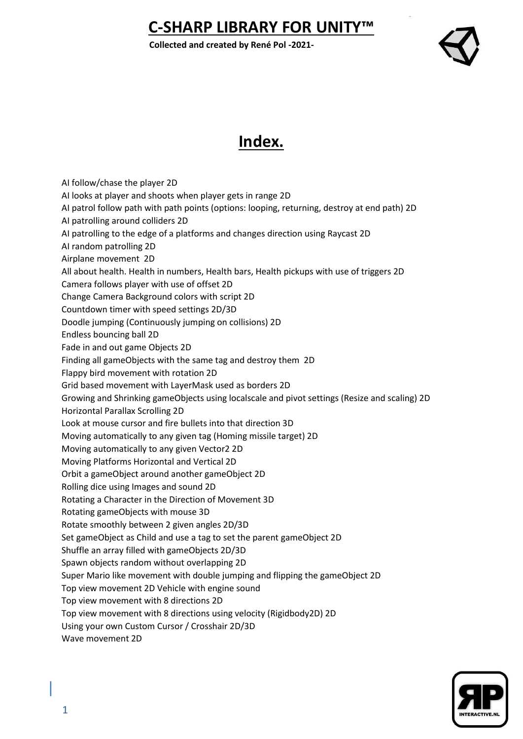**Collected and created by René Pol -2021-**



## **Index.**

AI follow/chase the player 2D AI looks at player and shoots when player gets in range 2D AI patrol follow path with path points (options: looping, returning, destroy at end path) 2D AI patrolling around colliders 2D AI patrolling to the edge of a platforms and changes direction using Raycast 2D AI random patrolling 2D Airplane movement 2D All about health. Health in numbers, Health bars, Health pickups with use of triggers 2D Camera follows player with use of offset 2D Change Camera Background colors with script 2D Countdown timer with speed settings 2D/3D Doodle jumping (Continuously jumping on collisions) 2D Endless bouncing ball 2D Fade in and out game Objects 2D Finding all gameObjects with the same tag and destroy them 2D Flappy bird movement with rotation 2D Grid based movement with LayerMask used as borders 2D Growing and Shrinking gameObjects using localscale and pivot settings (Resize and scaling) 2D Horizontal Parallax Scrolling 2D Look at mouse cursor and fire bullets into that direction 3D Moving automatically to any given tag (Homing missile target) 2D Moving automatically to any given Vector2 2D Moving Platforms Horizontal and Vertical 2D Orbit a gameObject around another gameObject 2D Rolling dice using Images and sound 2D Rotating a Character in the Direction of Movement 3D Rotating gameObjects with mouse 3D Rotate smoothly between 2 given angles 2D/3D Set gameObject as Child and use a tag to set the parent gameObject 2D Shuffle an array filled with gameObjects 2D/3D Spawn objects random without overlapping 2D Super Mario like movement with double jumping and flipping the gameObject 2D Top view movement 2D Vehicle with engine sound Top view movement with 8 directions 2D Top view movement with 8 directions using velocity (Rigidbody2D) 2D Using your own Custom Cursor / Crosshair 2D/3D Wave movement 2D

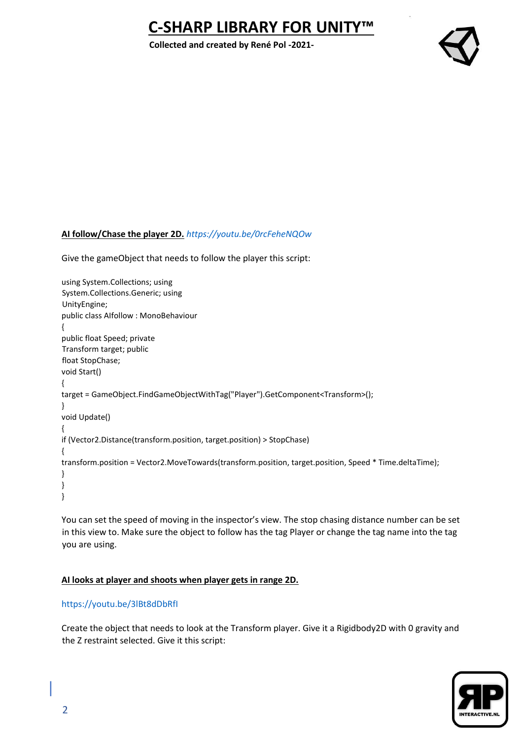**Collected and created by René Pol -2021-**



#### **AI follow/Chase the player 2D.** *<https://youtu.be/0rcFeheNQOw>*

Give the gameObject that needs to follow the player this script:

```
using System.Collections; using 
System.Collections.Generic; using 
UnityEngine; 
public class AIfollow : MonoBehaviour 
{ 
public float Speed; private 
Transform target; public 
float StopChase; 
void Start() 
{ 
target = GameObject.FindGameObjectWithTag("Player").GetComponent<Transform>(); 
} 
void Update() 
{ 
if (Vector2.Distance(transform.position, target.position) > StopChase) 
{ 
transform.position = Vector2.MoveTowards(transform.position, target.position, Speed * Time.deltaTime); 
} 
} 
}
```
You can set the speed of moving in the inspector's view. The stop chasing distance number can be set in this view to. Make sure the object to follow has the tag Player or change the tag name into the tag you are using.

## **AI looks at player and shoots when player gets in range 2D.**

## <https://youtu.be/3lBt8dDbRfI>

Create the object that needs to look at the Transform player. Give it a Rigidbody2D with 0 gravity and the Z restraint selected. Give it this script:

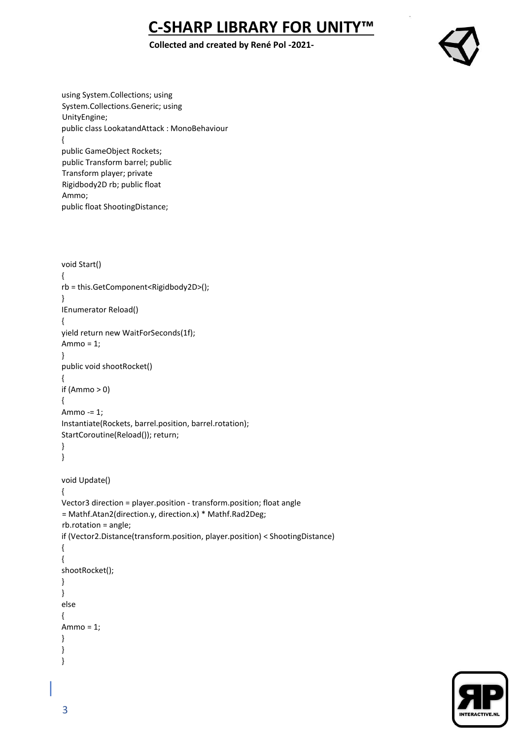## **Collected and created by René Pol -2021-**



using System.Collections; using System.Collections.Generic; using UnityEngine; public class LookatandAttack : MonoBehaviour { public GameObject Rockets; public Transform barrel; public Transform player; private Rigidbody2D rb; public float Ammo; public float ShootingDistance;

```
void Start() 
{ 
rb = this.GetComponent<Rigidbody2D>(); 
} 
IEnumerator Reload() 
{ 
yield return new WaitForSeconds(1f); 
Ammo = 1;
} 
public void shootRocket() 
{ 
if (Ammo > 0){ 
Ammo -= 1; 
Instantiate(Rockets, barrel.position, barrel.rotation); 
StartCoroutine(Reload()); return; 
} 
} 
void Update() 
{ 
Vector3 direction = player.position - transform.position; float angle 
= Mathf.Atan2(direction.y, direction.x) * Mathf.Rad2Deg; 
rb.rotation = angle; 
if (Vector2.Distance(transform.position, player.position) < ShootingDistance) 
{ 
{ 
shootRocket(); 
} 
} 
else 
{ 
Ammo = 1; 
} 
} 
}
```
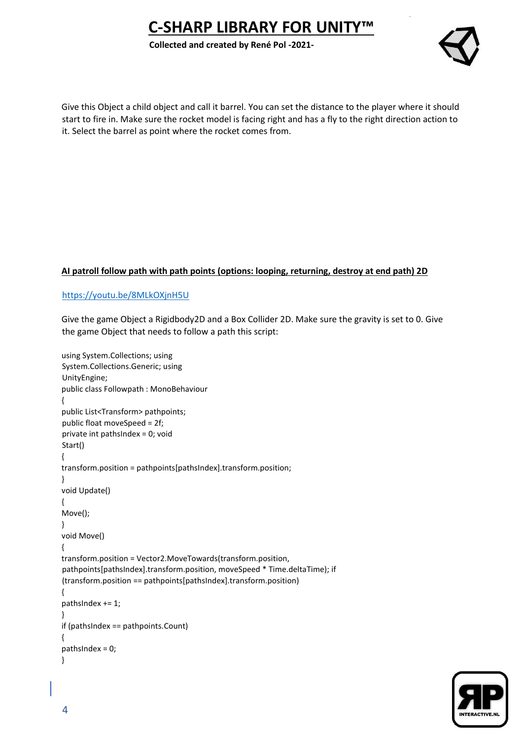**Collected and created by René Pol -2021-**



Give this Object a child object and call it barrel. You can set the distance to the player where it should start to fire in. Make sure the rocket model is facing right and has a fly to the right direction action to it. Select the barrel as point where the rocket comes from.

## **AI patroll follow path with path points (options: looping, returning, destroy at end path) 2D**

#### <https://youtu.be/8MLkOXjnH5U>

Give the game Object a Rigidbody2D and a Box Collider 2D. Make sure the gravity is set to 0. Give the game Object that needs to follow a path this script:

```
using System.Collections; using 
System.Collections.Generic; using 
UnityEngine; 
public class Followpath : MonoBehaviour 
{ 
public List<Transform> pathpoints; 
public float moveSpeed = 2f; 
private int pathsIndex = 0; void 
Start() 
{ 
transform.position = pathpoints[pathsIndex].transform.position; 
} 
void Update() 
{ 
Move(); 
} 
void Move() 
{ 
transform.position = Vector2.MoveTowards(transform.position, 
pathpoints[pathsIndex].transform.position, moveSpeed * Time.deltaTime); if 
(transform.position == pathpoints[pathsIndex].transform.position) 
{ 
pathsIndex += 1; 
} 
if (pathsIndex == pathpoints.Count) 
{ 
pathsIndex = 0; 
}
```
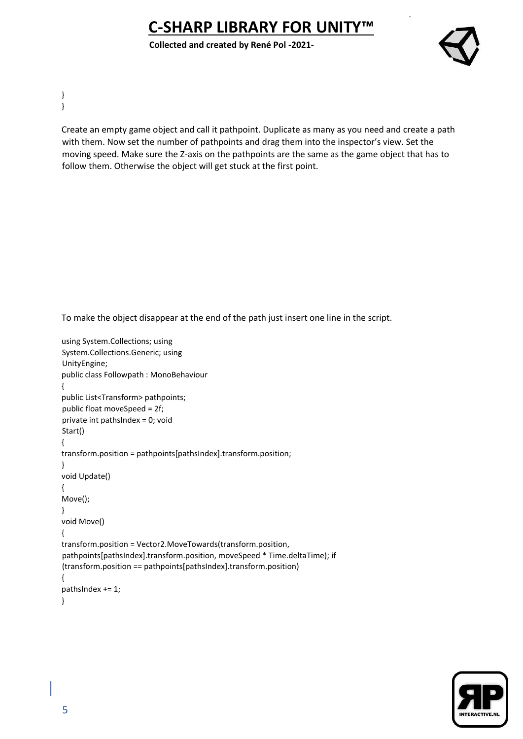**Collected and created by René Pol -2021-**



} }

> Create an empty game object and call it pathpoint. Duplicate as many as you need and create a path with them. Now set the number of pathpoints and drag them into the inspector's view. Set the moving speed. Make sure the Z-axis on the pathpoints are the same as the game object that has to follow them. Otherwise the object will get stuck at the first point.

To make the object disappear at the end of the path just insert one line in the script.

```
using System.Collections; using 
System.Collections.Generic; using 
UnityEngine; 
public class Followpath : MonoBehaviour 
{ 
public List<Transform> pathpoints; 
public float moveSpeed = 2f; 
private int pathsIndex = 0; void 
Start() 
{ 
transform.position = pathpoints[pathsIndex].transform.position; 
} 
void Update() 
{ 
Move(); 
} 
void Move() 
{ 
transform.position = Vector2.MoveTowards(transform.position, 
pathpoints[pathsIndex].transform.position, moveSpeed * Time.deltaTime); if 
(transform.position == pathpoints[pathsIndex].transform.position) 
{ 
pathsIndex += 1; 
}
```
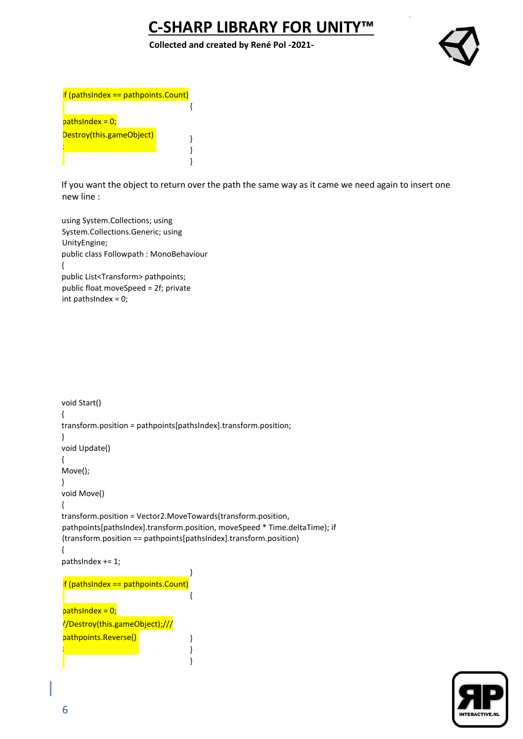**Collected and created by René Pol -2021-**





If you want the object to return over the path the same way as it came we need again to insert one new line :

using System.Collections; using System.Collections.Generic; using UnityEngine; public class Followpath : MonoBehaviour { public List<Transform> pathpoints; public float moveSpeed = 2f; private int pathsIndex = 0;

```
void Start() 
{ 
transform.position = pathpoints[pathsIndex].transform.position; 
} 
void Update() 
{ 
Move(); 
} 
void Move() 
{ 
transform.position = Vector2.MoveTowards(transform.position, 
pathpoints[pathsIndex].transform.position, moveSpeed * Time.deltaTime); if 
(transform.position == pathpoints[pathsIndex].transform.position) 
{ 
pathsIndex += 1; 
                                    } 
                                    {
                                    }
                                    } 
                                    } 
if (pathsIndex == pathpoints.Count)
pathshedex = 0;//Destroy(this.gameObject);///
pathpoints.Reverse()
;
```
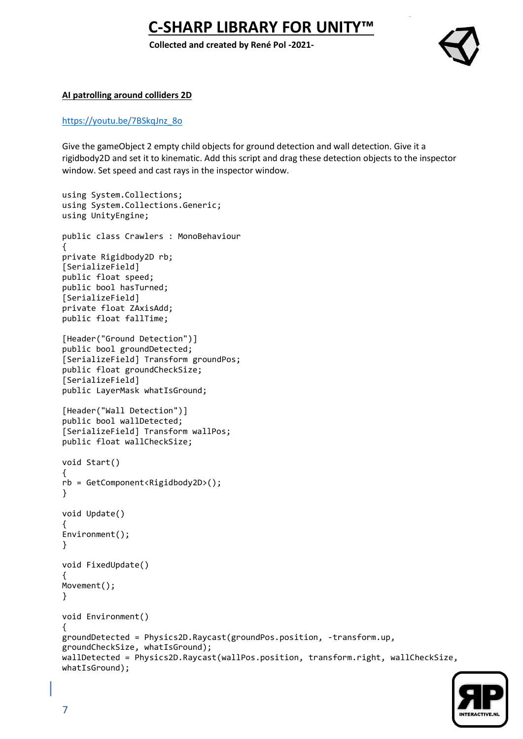**Collected and created by René Pol -2021-**



#### **AI patrolling around colliders 2D**

#### [https://youtu.be/7BSkqJnz\\_8o](https://youtu.be/7BSkqJnz_8o)

Give the gameObject 2 empty child objects for ground detection and wall detection. Give it a rigidbody2D and set it to kinematic. Add this script and drag these detection objects to the inspector window. Set speed and cast rays in the inspector window.

```
using System.Collections;
using System.Collections.Generic;
using UnityEngine;
public class Crawlers : MonoBehaviour
{
private Rigidbody2D rb;
[SerializeField]
public float speed;
public bool hasTurned;
[SerializeField]
private float ZAxisAdd;
public float fallTime;
[Header("Ground Detection")]
public bool groundDetected;
[SerializeField] Transform groundPos;
public float groundCheckSize;
[SerializeField]
public LayerMask whatIsGround;
[Header("Wall Detection")]
public bool wallDetected;
[SerializeField] Transform wallPos;
public float wallCheckSize;
void Start()
{
rb = GetComponent<Rigidbody2D>();
}
void Update()
{
Environment();
}
void FixedUpdate()
{
Movement();
}
void Environment()
{
groundDetected = Physics2D.Raycast(groundPos.position, -transform.up, 
groundCheckSize, whatIsGround);
wallDetected = Physics2D.Raycast(wallPos.position, transform.right, wallCheckSize, 
whatIsGround);
```
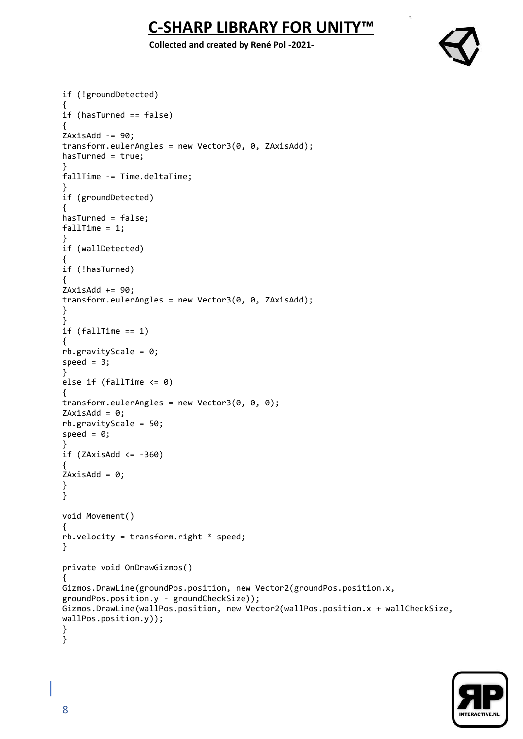**Collected and created by René Pol -2021-**



```
if (!groundDetected)
{
if (hasTurned == false)
{
ZAxisAdd -= 90;
transform.eulerAngles = new Vector3(0, 0, ZAxisAdd);
hasTurned = true;
}
fallTime -= Time.deltaTime;
}
if (groundDetected)
{
hasTurned = false;
fallTime = 1;}
if (wallDetected)
{
if (!hasTurned)
{
ZAxisAdd += 90;
transform.eulerAngles = new Vector3(0, 0, ZAxisAdd);
}
}
if (fallTime == 1){
rb.gravityScale = 0;
speed = 3;
}
else if (fallTime <= 0)
{
transform.eulerAngles = new Vector3(0, 0, 0);
ZAxiSAdd = 0;rb.gravityScale = 50;
speed = 0;}
if (ZAxisAdd <= -360){
ZAxisAdd = 0;}
}
void Movement()
{
rb.velocity = transform.right * speed;
}
private void OnDrawGizmos()
{
Gizmos.DrawLine(groundPos.position, new Vector2(groundPos.position.x, 
groundPos.position.y - groundCheckSize));
Gizmos.DrawLine(wallPos.position, new Vector2(wallPos.position.x + wallCheckSize, 
wallPos.position.y));
}
}
```
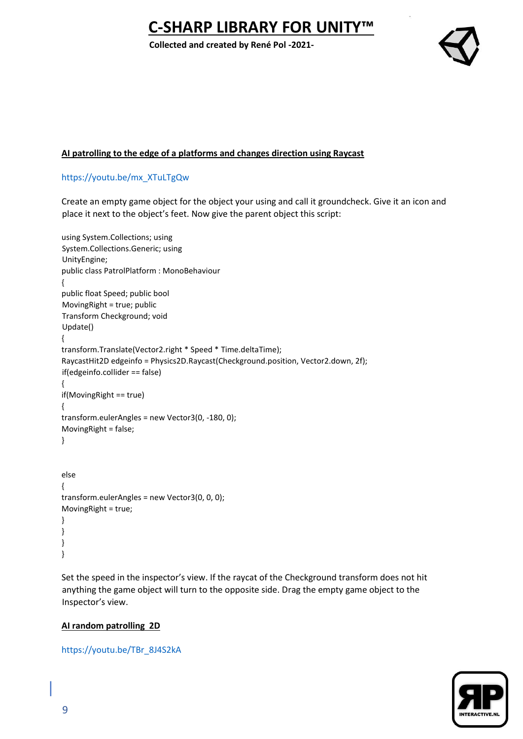**Collected and created by René Pol -2021-**



## **AI patrolling to the edge of a platforms and changes direction using Raycast**

## [https://youtu.be/mx\\_XTuLTgQw](https://youtu.be/mx_XTuLTgQw)

Create an empty game object for the object your using and call it groundcheck. Give it an icon and place it next to the object's feet. Now give the parent object this script:

```
using System.Collections; using 
System.Collections.Generic; using 
UnityEngine; 
public class PatrolPlatform : MonoBehaviour 
{ 
public float Speed; public bool 
MovingRight = true; public 
Transform Checkground; void 
Update() 
{ 
transform.Translate(Vector2.right * Speed * Time.deltaTime); 
RaycastHit2D edgeinfo = Physics2D.Raycast(Checkground.position, Vector2.down, 2f); 
if(edgeinfo.collider == false) 
{ 
if(MovingRight == true) 
{ 
transform.eulerAngles = new Vector3(0, -180, 0); 
MovingRight = false; 
} 
else 
{ 
transform.eulerAngles = new Vector3(0, 0, 0); 
MovingRight = true; 
} 
} 
} 
}
```
Set the speed in the inspector's view. If the raycat of the Checkground transform does not hit anything the game object will turn to the opposite side. Drag the empty game object to the Inspector's view.

## **AI random patrolling 2D**

#### [https://youtu.be/TBr\\_8J4S2kA](https://youtu.be/TBr_8J4S2kA)

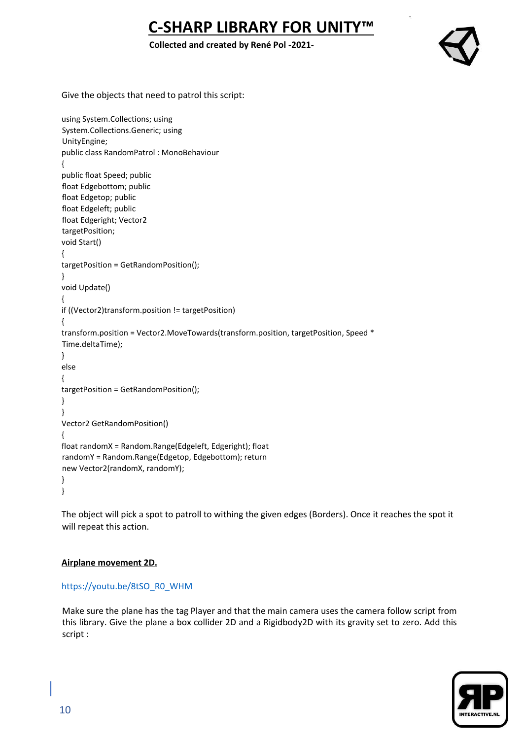## **Collected and created by René Pol -2021-**



Give the objects that need to patrol this script:

```
using System.Collections; using 
System.Collections.Generic; using 
UnityEngine; 
public class RandomPatrol : MonoBehaviour 
{ 
public float Speed; public 
float Edgebottom; public 
float Edgetop; public 
float Edgeleft; public 
float Edgeright; Vector2 
targetPosition; 
void Start() 
{ 
targetPosition = GetRandomPosition(); 
} 
void Update() 
{ 
if ((Vector2)transform.position != targetPosition) 
{ 
transform.position = Vector2.MoveTowards(transform.position, targetPosition, Speed * 
Time.deltaTime); 
} 
else 
{ 
targetPosition = GetRandomPosition(); 
} 
} 
Vector2 GetRandomPosition() 
{ 
float randomX = Random.Range(Edgeleft, Edgeright); float 
randomY = Random.Range(Edgetop, Edgebottom); return 
new Vector2(randomX, randomY); 
} 
}
```
The object will pick a spot to patroll to withing the given edges (Borders). Once it reaches the spot it will repeat this action.

#### **Airplane movement 2D.**

## [https://youtu.be/8tSO\\_R0\\_WHM](https://youtu.be/8tSO_R0_WHM)

Make sure the plane has the tag Player and that the main camera uses the camera follow script from this library. Give the plane a box collider 2D and a Rigidbody2D with its gravity set to zero. Add this script :

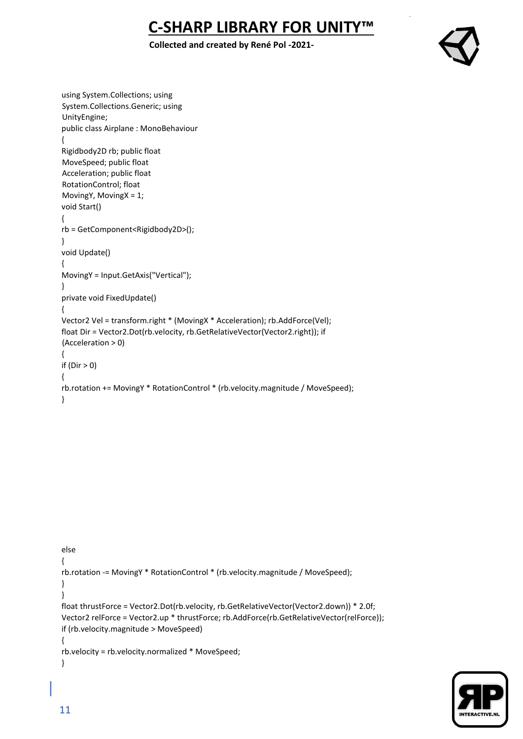## **Collected and created by René Pol -2021-**



```
using System.Collections; using 
System.Collections.Generic; using 
UnityEngine; 
public class Airplane : MonoBehaviour 
{ 
Rigidbody2D rb; public float 
MoveSpeed; public float 
Acceleration; public float 
RotationControl; float 
MovingY, MovingX = 1; 
void Start() 
{ 
rb = GetComponent<Rigidbody2D>(); 
} 
void Update() 
{ 
MovingY = Input.GetAxis("Vertical"); 
} 
private void FixedUpdate() 
{ 
Vector2 Vel = transform.right * (MovingX * Acceleration); rb.AddForce(Vel); 
float Dir = Vector2.Dot(rb.velocity, rb.GetRelativeVector(Vector2.right)); if 
(Acceleration > 0) 
{ 
if (Dir > 0){ 
rb.rotation += MovingY * RotationControl * (rb.velocity.magnitude / MoveSpeed); 
}
```

```
else 
{ 
rb.rotation -= MovingY * RotationControl * (rb.velocity.magnitude / MoveSpeed); 
} 
} 
float thrustForce = Vector2.Dot(rb.velocity, rb.GetRelativeVector(Vector2.down)) * 2.0f; 
Vector2 relForce = Vector2.up * thrustForce; rb.AddForce(rb.GetRelativeVector(relForce)); 
if (rb.velocity.magnitude > MoveSpeed) 
{ 
rb.velocity = rb.velocity.normalized * MoveSpeed; 
}
```
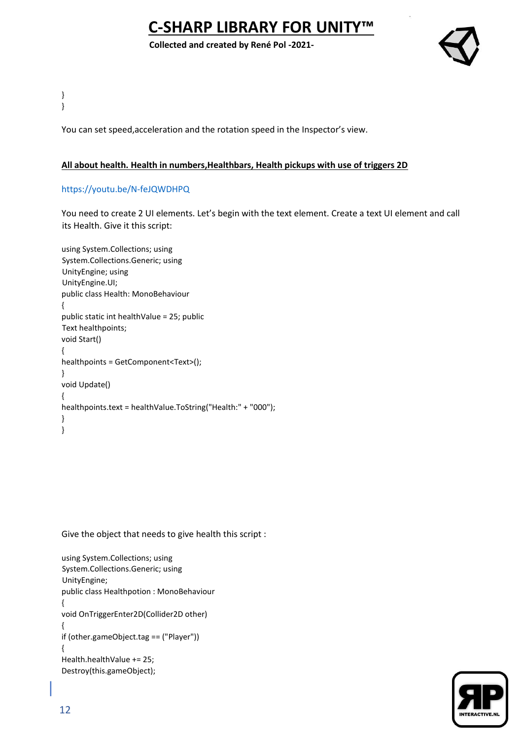**Collected and created by René Pol -2021-**



} }

You can set speed,acceleration and the rotation speed in the Inspector's view.

## **All about health. Health in numbers,Healthbars, Health pickups with use of triggers 2D**

## <https://youtu.be/N-feJQWDHPQ>

You need to create 2 UI elements. Let's begin with the text element. Create a text UI element and call its Health. Give it this script:

```
using System.Collections; using 
System.Collections.Generic; using 
UnityEngine; using 
UnityEngine.UI; 
public class Health: MonoBehaviour 
{ 
public static int healthValue = 25; public 
Text healthpoints; 
void Start() 
{ 
healthpoints = GetComponent<Text>(); 
} 
void Update() 
{ 
healthpoints.text = healthValue.ToString("Health:" + "000"); 
} 
}
```
Give the object that needs to give health this script :

```
using System.Collections; using 
System.Collections.Generic; using 
UnityEngine; 
public class Healthpotion : MonoBehaviour 
{ 
void OnTriggerEnter2D(Collider2D other) 
{ 
if (other.gameObject.tag == ("Player")) 
{ 
Health.healthValue += 25; 
Destroy(this.gameObject);
```
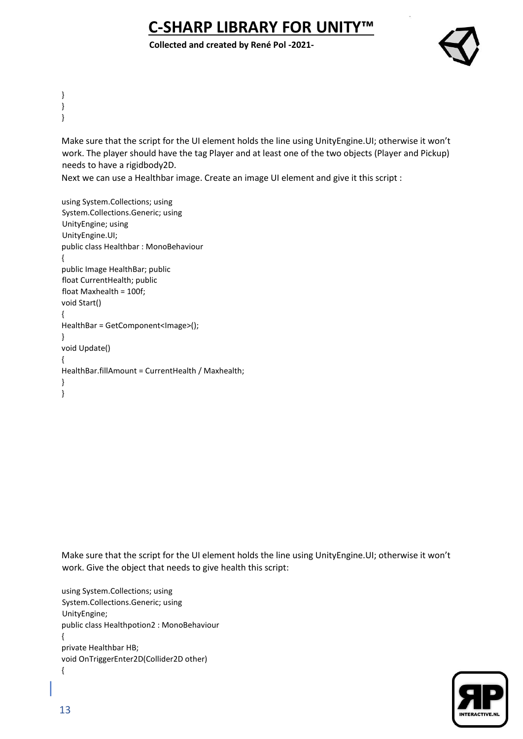**Collected and created by René Pol -2021-**



} } }

> Make sure that the script for the UI element holds the line using UnityEngine.UI; otherwise it won't work. The player should have the tag Player and at least one of the two objects (Player and Pickup) needs to have a rigidbody2D.

Next we can use a Healthbar image. Create an image UI element and give it this script :

```
using System.Collections; using 
System.Collections.Generic; using 
UnityEngine; using 
UnityEngine.UI; 
public class Healthbar : MonoBehaviour 
{ 
public Image HealthBar; public 
float CurrentHealth; public 
float Maxhealth = 100f; 
void Start() 
{ 
HealthBar = GetComponent<Image>(); 
} 
void Update() 
{ 
HealthBar.fillAmount = CurrentHealth / Maxhealth; 
} 
}
```
Make sure that the script for the UI element holds the line using UnityEngine.UI; otherwise it won't work. Give the object that needs to give health this script:

using System.Collections; using System.Collections.Generic; using UnityEngine; public class Healthpotion2 : MonoBehaviour { private Healthbar HB; void OnTriggerEnter2D(Collider2D other) {

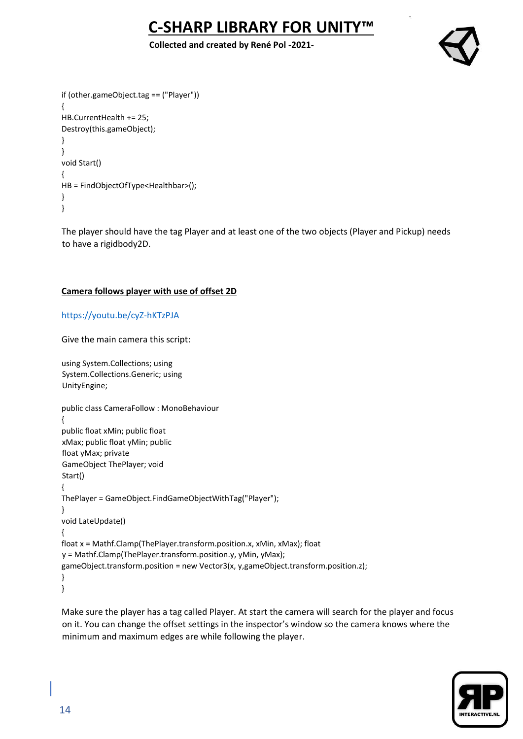### **Collected and created by René Pol -2021-**



```
if (other.gameObject.tag == ("Player")) 
{ 
HB.CurrentHealth += 25; 
Destroy(this.gameObject); 
} 
} 
void Start() 
{ 
HB = FindObjectOfType<Healthbar>(); 
} 
}
```
The player should have the tag Player and at least one of the two objects (Player and Pickup) needs to have a rigidbody2D.

## **Camera follows player with use of offset 2D**

#### <https://youtu.be/cyZ-hKTzPJA>

Give the main camera this script:

```
using System.Collections; using 
System.Collections.Generic; using 
UnityEngine; 
public class CameraFollow : MonoBehaviour 
{ 
public float xMin; public float 
xMax; public float yMin; public 
float yMax; private 
GameObject ThePlayer; void 
Start() 
{ 
ThePlayer = GameObject.FindGameObjectWithTag("Player"); 
} 
void LateUpdate() 
{ 
float x = Mathf.Clamp(ThePlayer.transform.position.x, xMin, xMax); float 
y = Mathf.Clamp(ThePlayer.transform.position.y, yMin, yMax); 
gameObject.transform.position = new Vector3(x, y,gameObject.transform.position.z); 
} 
}
```
Make sure the player has a tag called Player. At start the camera will search for the player and focus on it. You can change the offset settings in the inspector's window so the camera knows where the minimum and maximum edges are while following the player.

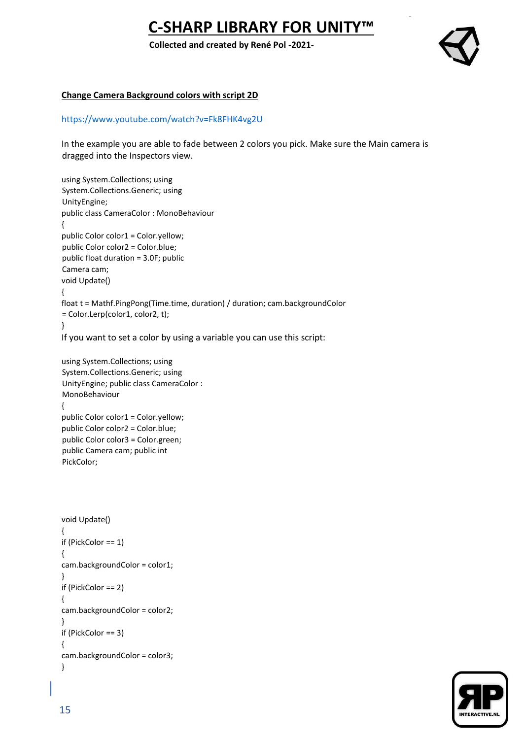**Collected and created by René Pol -2021-**



#### **Change Camera Background colors with script 2D**

#### <https://www.youtube.com/watch?v=Fk8FHK4vg2U>

In the example you are able to fade between 2 colors you pick. Make sure the Main camera is dragged into the Inspectors view.

```
using System.Collections; using 
System.Collections.Generic; using 
UnityEngine; 
public class CameraColor : MonoBehaviour 
{ 
public Color color1 = Color.yellow;
public Color color2 = Color.blue;
public float duration = 3.0F; public 
Camera cam; 
void Update() 
{ 
float t = Mathf.PingPong(Time.time, duration) / duration; cam.backgroundColor 
= Color.Lerp(color1, color2, t); 
} 
If you want to set a color by using a variable you can use this script:
```

```
using System.Collections; using 
System.Collections.Generic; using 
UnityEngine; public class CameraColor : 
MonoBehaviour 
{ 
public Color color1 = Color.yellow;
public Color color2 = Color.blue; 
public Color color3 = Color.green;
public Camera cam; public int 
PickColor;
```

```
void Update() 
{ 
if (PickColor == 1) 
{ 
cam.backgroundColor = color1; 
} 
if (PickColor == 2) 
{ 
cam.backgroundColor = color2; 
} 
if (PickColor == 3) 
{ 
cam.backgroundColor = color3; 
}
```
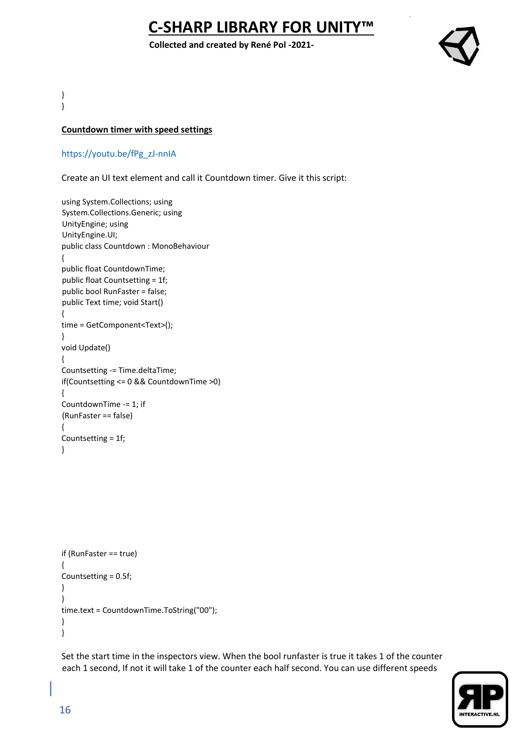**Collected and created by René Pol -2021-**



} }

### **Countdown timer with speed settings**

[https://youtu.be/fPg\\_zJ-nnIA](https://youtu.be/fPg_zJ-nnIA)

Create an UI text element and call it Countdown timer. Give it this script:

```
using System.Collections; using 
System.Collections.Generic; using 
UnityEngine; using 
UnityEngine.UI; 
public class Countdown : MonoBehaviour 
{ 
public float CountdownTime; 
public float Countsetting = 1f; 
public bool RunFaster = false; 
public Text time; void Start() 
{ 
time = GetComponent<Text>(); 
} 
void Update() 
{ 
Countsetting -= Time.deltaTime; 
if(Countsetting <= 0 && CountdownTime >0) 
{ 
CountdownTime -= 1; if 
(RunFaster == false) 
{ 
Countsetting = 1f; 
}
```

```
if (RunFaster == true) 
{ 
Countsetting = 0.5f; 
} 
} 
time.text = CountdownTime.ToString("00"); 
} 
}
```
Set the start time in the inspectors view. When the bool runfaster is true it takes 1 of the counter each 1 second, If not it will take 1 of the counter each half second. You can use different speeds

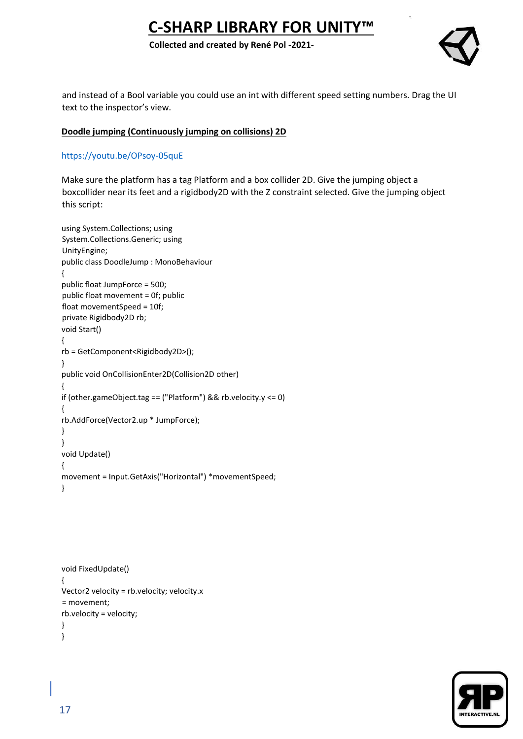#### **Collected and created by René Pol -2021-**



and instead of a Bool variable you could use an int with different speed setting numbers. Drag the UI text to the inspector's view.

#### **Doodle jumping (Continuously jumping on collisions) 2D**

#### <https://youtu.be/OPsoy-05quE>

Make sure the platform has a tag Platform and a box collider 2D. Give the jumping object a boxcollider near its feet and a rigidbody2D with the Z constraint selected. Give the jumping object this script:

```
using System.Collections; using 
System.Collections.Generic; using 
UnityEngine; 
public class DoodleJump : MonoBehaviour 
{ 
public float JumpForce = 500; 
public float movement = 0f; public 
float movementSpeed = 10f; 
private Rigidbody2D rb; 
void Start() 
{ 
rb = GetComponent<Rigidbody2D>(); 
} 
public void OnCollisionEnter2D(Collision2D other) 
{ 
if (other.gameObject.tag == ("Platform") && rb.velocity.y <= 0) 
{ 
rb.AddForce(Vector2.up * JumpForce); 
} 
} 
void Update() 
{
movement = Input.GetAxis("Horizontal") *movementSpeed; 
}
```

```
void FixedUpdate() 
{ 
Vector2 velocity = rb.velocity; velocity.x 
= movement; 
rb.velocity = velocity; 
} 
}
```
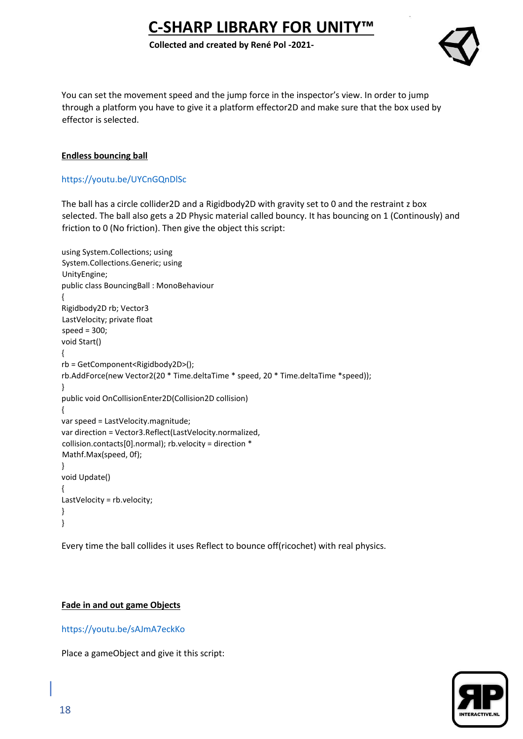#### **Collected and created by René Pol -2021-**



You can set the movement speed and the jump force in the inspector's view. In order to jump through a platform you have to give it a platform effector2D and make sure that the box used by effector is selected.

## **Endless bouncing ball**

### <https://youtu.be/UYCnGQnDlSc>

The ball has a circle collider2D and a Rigidbody2D with gravity set to 0 and the restraint z box selected. The ball also gets a 2D Physic material called bouncy. It has bouncing on 1 (Continously) and friction to 0 (No friction). Then give the object this script:

```
using System.Collections; using 
System.Collections.Generic; using 
UnityEngine; 
public class BouncingBall : MonoBehaviour 
{ 
Rigidbody2D rb; Vector3 
LastVelocity; private float 
speed = 300; 
void Start() 
{ 
rb = GetComponent<Rigidbody2D>(); 
rb.AddForce(new Vector2(20 * Time.deltaTime * speed, 20 * Time.deltaTime *speed)); 
} 
public void OnCollisionEnter2D(Collision2D collision) 
{ 
var speed = LastVelocity.magnitude; 
var direction = Vector3.Reflect(LastVelocity.normalized, 
collision.contacts[0].normal); rb.velocity = direction * 
Mathf.Max(speed, 0f); 
} 
void Update() 
{ 
LastVelocity = rb.velocity; 
}
}
```
Every time the ball collides it uses Reflect to bounce off(ricochet) with real physics.

#### **Fade in and out game Objects**

<https://youtu.be/sAJmA7eckKo>

Place a gameObject and give it this script:

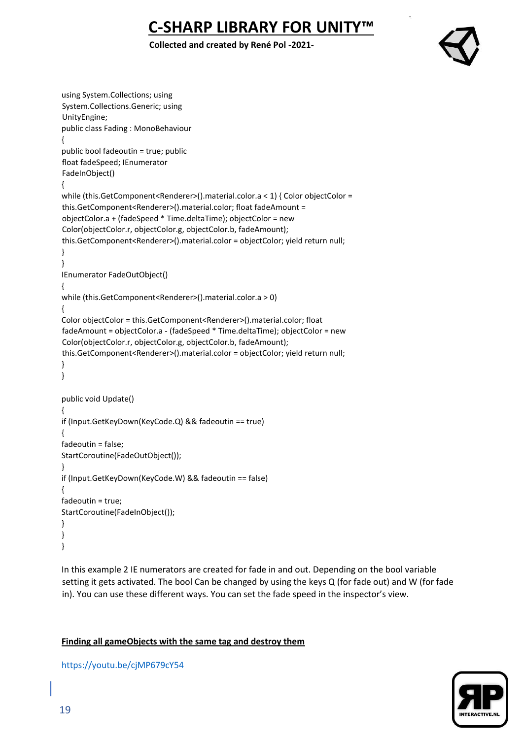### **Collected and created by René Pol -2021-**



```
using System.Collections; using 
System.Collections.Generic; using 
UnityEngine; 
public class Fading : MonoBehaviour 
{ 
public bool fadeoutin = true; public 
float fadeSpeed; IEnumerator 
FadeInObject() 
{ 
while (this.GetComponent<Renderer>().material.color.a < 1) { Color objectColor =
this.GetComponent<Renderer>().material.color; float fadeAmount = 
objectColor.a + (fadeSpeed * Time.deltaTime); objectColor = new 
Color(objectColor.r, objectColor.g, objectColor.b, fadeAmount); 
this.GetComponent<Renderer>().material.color = objectColor; yield return null;
} 
} 
IEnumerator FadeOutObject() 
{ 
while (this.GetComponent<Renderer>().material.color.a > 0) 
{ 
Color objectColor = this.GetComponent<Renderer>().material.color; float 
fadeAmount = objectColor.a - (fadeSpeed * Time.deltaTime); objectColor = new 
Color(objectColor.r, objectColor.g, objectColor.b, fadeAmount); 
this.GetComponent<Renderer>().material.color = objectColor; yield return null; 
} 
} 
public void Update() 
{ 
if (Input.GetKeyDown(KeyCode.Q) && fadeoutin == true) 
{ 
fadeoutin = false; 
StartCoroutine(FadeOutObject()); 
} 
if (Input.GetKeyDown(KeyCode.W) && fadeoutin == false) 
{ 
fadeoutin = true; 
StartCoroutine(FadeInObject()); 
}
} 
}
```
In this example 2 IE numerators are created for fade in and out. Depending on the bool variable setting it gets activated. The bool Can be changed by using the keys Q (for fade out) and W (for fade in). You can use these different ways. You can set the fade speed in the inspector's view.

## **Finding all gameObjects with the same tag and destroy them**

<https://youtu.be/cjMP679cY54>

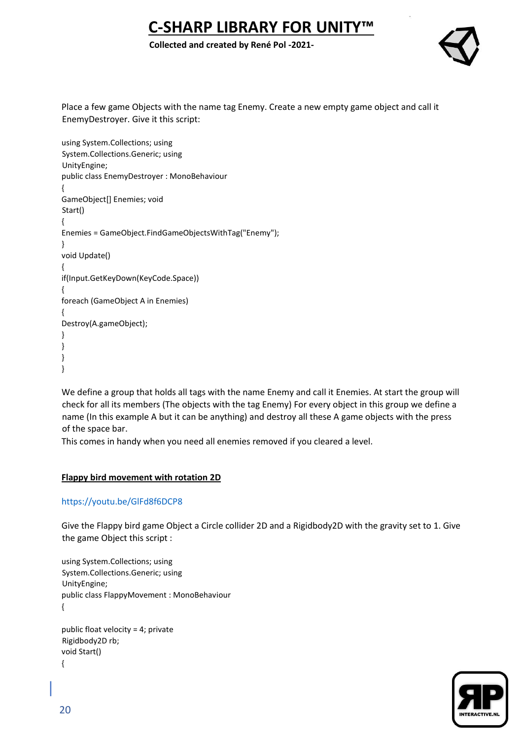**Collected and created by René Pol -2021-**



Place a few game Objects with the name tag Enemy. Create a new empty game object and call it EnemyDestroyer. Give it this script:

```
using System.Collections; using 
System.Collections.Generic; using 
UnityEngine; 
public class EnemyDestroyer : MonoBehaviour 
{ 
GameObject[] Enemies; void 
Start() 
{ 
Enemies = GameObject.FindGameObjectsWithTag("Enemy"); 
} 
void Update() 
{ 
if(Input.GetKeyDown(KeyCode.Space)) 
{ 
foreach (GameObject A in Enemies) 
{ 
Destroy(A.gameObject); 
} 
} 
} 
}
```
We define a group that holds all tags with the name Enemy and call it Enemies. At start the group will check for all its members (The objects with the tag Enemy) For every object in this group we define a name (In this example A but it can be anything) and destroy all these A game objects with the press of the space bar.

This comes in handy when you need all enemies removed if you cleared a level.

## **Flappy bird movement with rotation 2D**

## <https://youtu.be/GlFd8f6DCP8>

Give the Flappy bird game Object a Circle collider 2D and a Rigidbody2D with the gravity set to 1. Give the game Object this script :

using System.Collections; using System.Collections.Generic; using UnityEngine; public class FlappyMovement : MonoBehaviour {

public float velocity = 4; private Rigidbody2D rb; void Start() {

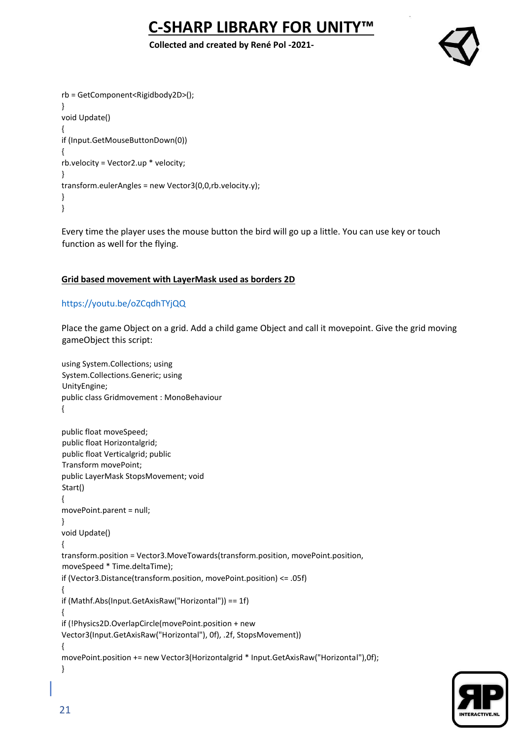**Collected and created by René Pol -2021-**



```
rb = GetComponent<Rigidbody2D>(); 
} 
void Update() 
{ 
if (Input.GetMouseButtonDown(0)) 
{ 
rb.velocity = Vector2.up * velocity; 
} 
transform.eulerAngles = new Vector3(0,0,rb.velocity.y); 
} 
}
```
Every time the player uses the mouse button the bird will go up a little. You can use key or touch function as well for the flying.

## **Grid based movement with LayerMask used as borders 2D**

## <https://youtu.be/oZCqdhTYjQQ>

Place the game Object on a grid. Add a child game Object and call it movepoint. Give the grid moving gameObject this script:

```
using System.Collections; using 
System.Collections.Generic; using 
UnityEngine; 
public class Gridmovement : MonoBehaviour 
{ 
public float moveSpeed; 
public float Horizontalgrid; 
public float Verticalgrid; public 
Transform movePoint; 
public LayerMask StopsMovement; void 
Start() 
{ 
movePoint.parent = null; 
} 
void Update() 
{ 
transform.position = Vector3.MoveTowards(transform.position, movePoint.position, 
moveSpeed * Time.deltaTime); 
if (Vector3.Distance(transform.position, movePoint.position) <= .05f) 
{ 
if (Mathf.Abs(Input.GetAxisRaw("Horizontal")) == 1f) 
{ 
if (!Physics2D.OverlapCircle(movePoint.position + new 
Vector3(Input.GetAxisRaw("Horizontal"), 0f), .2f, StopsMovement)) 
{ 
movePoint.position += new Vector3(Horizontalgrid * Input.GetAxisRaw("Horizontal"),0f); 
}
```
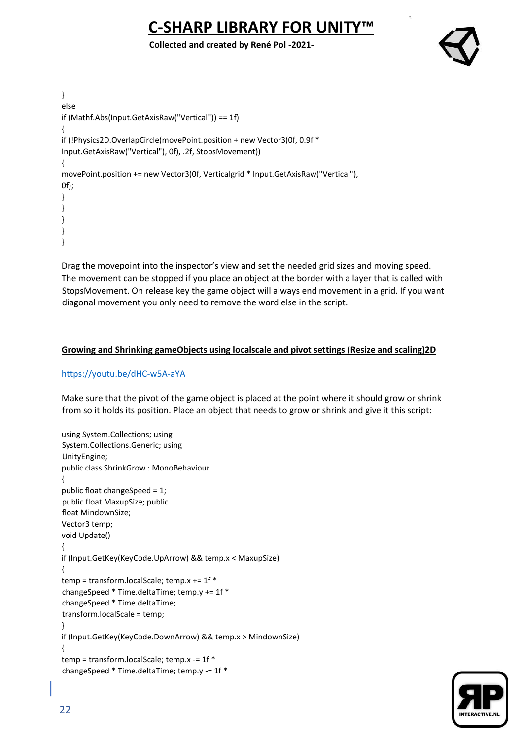**Collected and created by René Pol -2021-**



```
} 
else 
if (Mathf.Abs(Input.GetAxisRaw("Vertical")) == 1f) 
{ 
if (!Physics2D.OverlapCircle(movePoint.position + new Vector3(0f, 0.9f * 
Input.GetAxisRaw("Vertical"), 0f), .2f, StopsMovement)) 
{ 
movePoint.position += new Vector3(0f, Verticalgrid * Input.GetAxisRaw("Vertical"), 
0f); 
} 
} 
} 
} 
}
```
Drag the movepoint into the inspector's view and set the needed grid sizes and moving speed. The movement can be stopped if you place an object at the border with a layer that is called with StopsMovement. On release key the game object will always end movement in a grid. If you want diagonal movement you only need to remove the word else in the script.

## **Growing and Shrinking gameObjects using localscale and pivot settings (Resize and scaling)2D**

## <https://youtu.be/dHC-w5A-aYA>

Make sure that the pivot of the game object is placed at the point where it should grow or shrink from so it holds its position. Place an object that needs to grow or shrink and give it this script:

```
using System.Collections; using 
System.Collections.Generic; using 
UnityEngine; 
public class ShrinkGrow : MonoBehaviour 
{ 
public float changeSpeed = 1; 
public float MaxupSize; public 
float MindownSize; 
Vector3 temp; 
void Update() 
{ 
if (Input.GetKey(KeyCode.UpArrow) && temp.x < MaxupSize) 
{ 
temp = transform.localScale; temp.x += 1f * 
changeSpeed * Time.deltaTime; temp.y += 1f * 
changeSpeed * Time.deltaTime; 
transform.localScale = temp; 
} 
if (Input.GetKey(KeyCode.DownArrow) && temp.x > MindownSize) 
{ 
temp = transform.localScale; temp.x -= 1f * 
changeSpeed * Time.deltaTime; temp.y -= 1f *
```
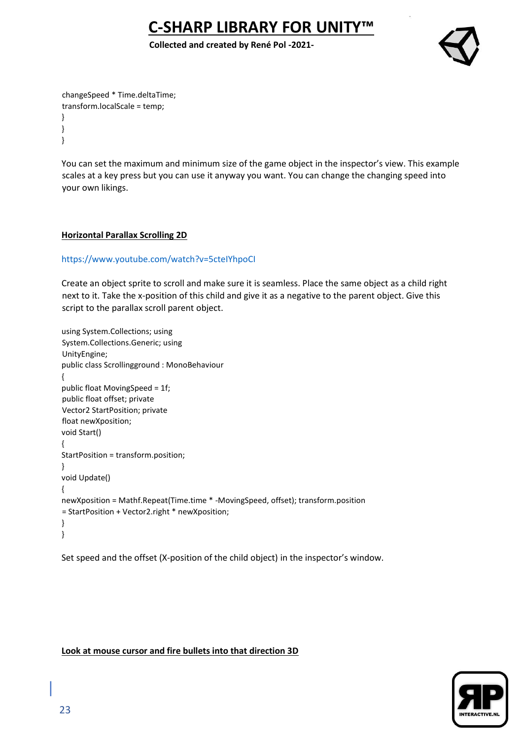**Collected and created by René Pol -2021-**



changeSpeed \* Time.deltaTime; transform.localScale = temp; } } }

You can set the maximum and minimum size of the game object in the inspector's view. This example scales at a key press but you can use it anyway you want. You can change the changing speed into your own likings.

#### **Horizontal Parallax Scrolling 2D**

#### <https://www.youtube.com/watch?v=5cteIYhpoCI>

Create an object sprite to scroll and make sure it is seamless. Place the same object as a child right next to it. Take the x-position of this child and give it as a negative to the parent object. Give this script to the parallax scroll parent object.

```
using System.Collections; using 
System.Collections.Generic; using 
UnityEngine; 
public class Scrollingground : MonoBehaviour 
{ 
public float MovingSpeed = 1f; 
public float offset; private 
Vector2 StartPosition; private 
float newXposition; 
void Start() 
{ 
StartPosition = transform.position; 
} 
void Update() 
{ 
newXposition = Mathf.Repeat(Time.time * -MovingSpeed, offset); transform.position 
= StartPosition + Vector2.right * newXposition; 
} 
}
```
Set speed and the offset (X-position of the child object) in the inspector's window.

#### **Look at mouse cursor and fire bullets into that direction 3D**

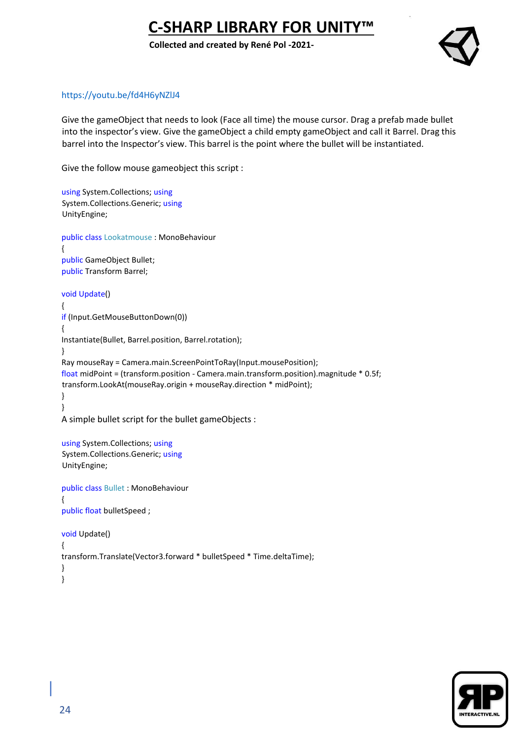**Collected and created by René Pol -2021-**



## <https://youtu.be/fd4H6yNZlJ4>

Give the gameObject that needs to look (Face all time) the mouse cursor. Drag a prefab made bullet into the inspector's view. Give the gameObject a child empty gameObject and call it Barrel. Drag this barrel into the Inspector's view. This barrel is the point where the bullet will be instantiated.

Give the follow mouse gameobject this script :

```
using System.Collections; using
System.Collections.Generic; using
UnityEngine; 
public class Lookatmouse : MonoBehaviour 
{ 
public GameObject Bullet; 
public Transform Barrel; 
void Update() 
{ 
if (Input.GetMouseButtonDown(0)) 
{ 
Instantiate(Bullet, Barrel.position, Barrel.rotation); 
} 
Ray mouseRay = Camera.main.ScreenPointToRay(Input.mousePosition); 
float midPoint = (transform.position - Camera.main.transform.position).magnitude * 0.5f; 
transform.LookAt(mouseRay.origin + mouseRay.direction * midPoint); 
} 
} 
A simple bullet script for the bullet gameObjects : 
using System.Collections; using
System.Collections.Generic; using
UnityEngine; 
public class Bullet : MonoBehaviour 
{ 
public float bulletSpeed ; 
void Update() 
{ 
transform.Translate(Vector3.forward * bulletSpeed * Time.deltaTime); 
} 
}
```
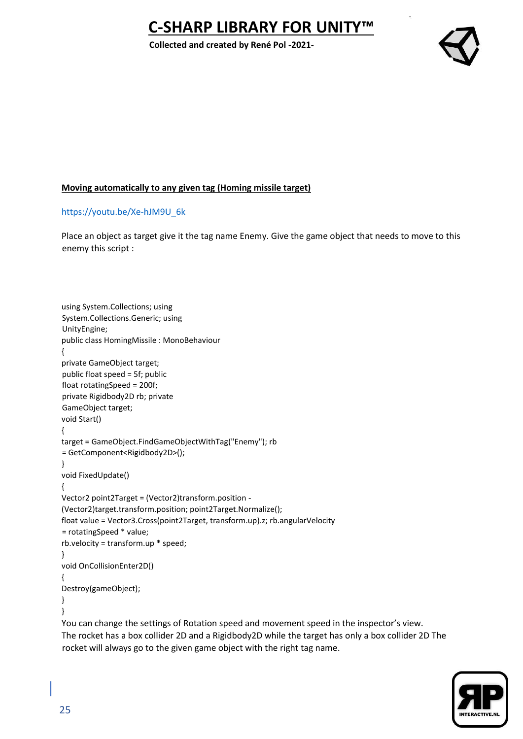**Collected and created by René Pol -2021-**



## **Moving automatically to any given tag (Homing missile target)**

## [https://youtu.be/Xe-hJM9U\\_6k](https://youtu.be/Xe-hJM9U_6k)

Place an object as target give it the tag name Enemy. Give the game object that needs to move to this enemy this script :

```
using System.Collections; using 
System.Collections.Generic; using 
UnityEngine; 
public class HomingMissile : MonoBehaviour 
{
private GameObject target; 
public float speed = 5f; public 
float rotatingSpeed = 200f; 
private Rigidbody2D rb; private 
GameObject target; 
void Start() 
{ 
target = GameObject.FindGameObjectWithTag("Enemy"); rb 
= GetComponent<Rigidbody2D>(); 
} 
void FixedUpdate() 
{ 
Vector2 point2Target = (Vector2)transform.position -
(Vector2)target.transform.position; point2Target.Normalize(); 
float value = Vector3.Cross(point2Target, transform.up).z; rb.angularVelocity 
= rotatingSpeed * value; 
rb.velocity = transform.up * speed; 
} 
void OnCollisionEnter2D() 
{ 
Destroy(gameObject); 
} 
} 
You can change the settings of Rotation speed and movement speed in the inspector's view.
```
The rocket has a box collider 2D and a Rigidbody2D while the target has only a box collider 2D The rocket will always go to the given game object with the right tag name.

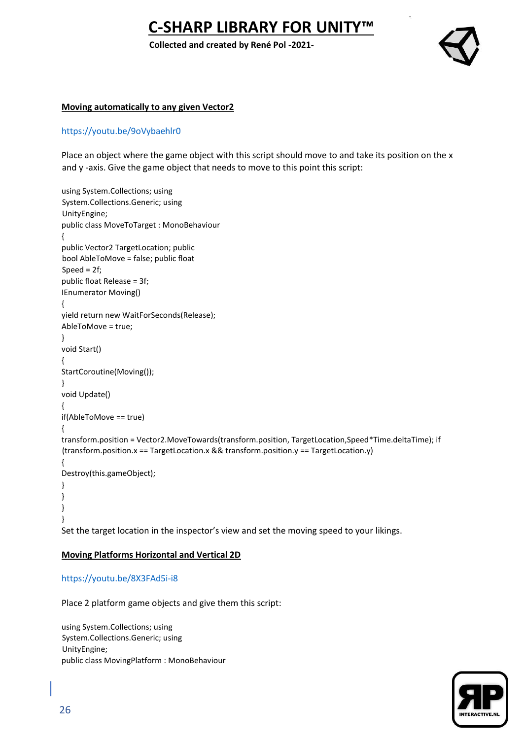**Collected and created by René Pol -2021-**



#### **Moving automatically to any given Vector2**

#### <https://youtu.be/9oVybaehlr0>

Place an object where the game object with this script should move to and take its position on the x and y -axis. Give the game object that needs to move to this point this script:

```
using System.Collections; using 
System.Collections.Generic; using 
UnityEngine; 
public class MoveToTarget : MonoBehaviour 
{ 
public Vector2 TargetLocation; public 
bool AbleToMove = false; public float 
Speed = 2f; 
public float Release = 3f; 
IEnumerator Moving() 
{ 
yield return new WaitForSeconds(Release); 
AbleToMove = true; 
} 
void Start() 
{ 
StartCoroutine(Moving()); 
} 
void Update() 
{ 
if(AbleToMove == true) 
{ 
transform.position = Vector2.MoveTowards(transform.position, TargetLocation,Speed*Time.deltaTime); if 
(transform.position.x == TargetLocation.x && transform.position.y == TargetLocation.y) 
{ 
Destroy(this.gameObject); 
} 
} 
} 
}
```
Set the target location in the inspector's view and set the moving speed to your likings.

#### **Moving Platforms Horizontal and Vertical 2D**

#### <https://youtu.be/8X3FAd5i-i8>

Place 2 platform game objects and give them this script:

using System.Collections; using System.Collections.Generic; using UnityEngine; public class MovingPlatform : MonoBehaviour

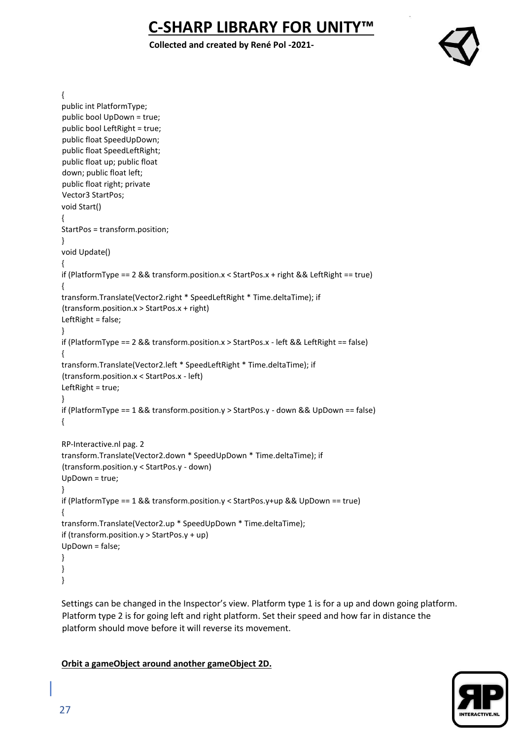**Collected and created by René Pol -2021-**



{

```
public int PlatformType; 
public bool UpDown = true; 
public bool LeftRight = true; 
public float SpeedUpDown; 
public float SpeedLeftRight; 
public float up; public float 
down; public float left; 
public float right; private 
Vector3 StartPos; 
void Start() 
{ 
StartPos = transform.position; 
} 
void Update() 
{ 
if (PlatformType == 2 && transform.position.x < StartPos.x + right && LeftRight == true) 
{ 
transform.Translate(Vector2.right * SpeedLeftRight * Time.deltaTime); if 
(transform.position.x > StartPos.x + right) 
LeftRight = false; 
} 
if (PlatformType == 2 && transform.position.x > StartPos.x - left && LeftRight == false) 
{ 
transform.Translate(Vector2.left * SpeedLeftRight * Time.deltaTime); if 
(transform.position.x < StartPos.x - left) 
LeftRight = true; 
} 
if (PlatformType == 1 && transform.position.y > StartPos.y - down && UpDown == false) 
{ 
RP-Interactive.nl pag. 2 
transform.Translate(Vector2.down * SpeedUpDown * Time.deltaTime); if 
(transform.position.y < StartPos.y - down) 
UpDown = true; 
} 
if (PlatformType == 1 && transform.position.y < StartPos.y+up && UpDown == true) 
{ 
transform.Translate(Vector2.up * SpeedUpDown * Time.deltaTime); 
if (transform.position.y > StartPos.y + up) 
UpDown = false; 
} 
} 
}
```
Settings can be changed in the Inspector's view. Platform type 1 is for a up and down going platform. Platform type 2 is for going left and right platform. Set their speed and how far in distance the platform should move before it will reverse its movement.

#### **Orbit a gameObject around another gameObject 2D.**

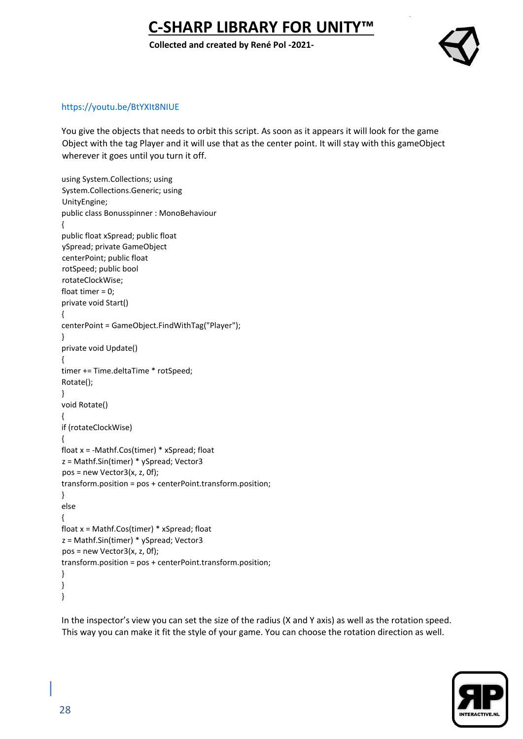**Collected and created by René Pol -2021-**



#### <https://youtu.be/BtYXIt8NIUE>

You give the objects that needs to orbit this script. As soon as it appears it will look for the game Object with the tag Player and it will use that as the center point. It will stay with this gameObject wherever it goes until you turn it off.

```
using System.Collections; using 
System.Collections.Generic; using 
UnityEngine; 
public class Bonusspinner : MonoBehaviour 
{ 
public float xSpread; public float 
ySpread; private GameObject 
centerPoint; public float 
rotSpeed; public bool 
rotateClockWise; 
float timer = 0; 
private void Start() 
{ 
centerPoint = GameObject.FindWithTag("Player"); 
} 
private void Update() 
{ 
timer += Time.deltaTime * rotSpeed; 
Rotate(); 
} 
void Rotate() 
{ 
if (rotateClockWise) 
{ 
float x = -Mathf.Cos(timer) * xSpread; float 
z = Mathf.Sin(timer) * ySpread; Vector3 
pos = new Vector3(x, z, 0f); 
transform.position = pos + centerPoint.transform.position; 
} 
else 
{ 
float x = Mathf.Cos(timer) * xSpread; float 
z = Mathf.Sin(timer) * ySpread; Vector3 
pos = new Vector3(x, z, 0f); 
transform.position = pos + centerPoint.transform.position; 
} 
} 
}
```
In the inspector's view you can set the size of the radius (X and Y axis) as well as the rotation speed. This way you can make it fit the style of your game. You can choose the rotation direction as well.

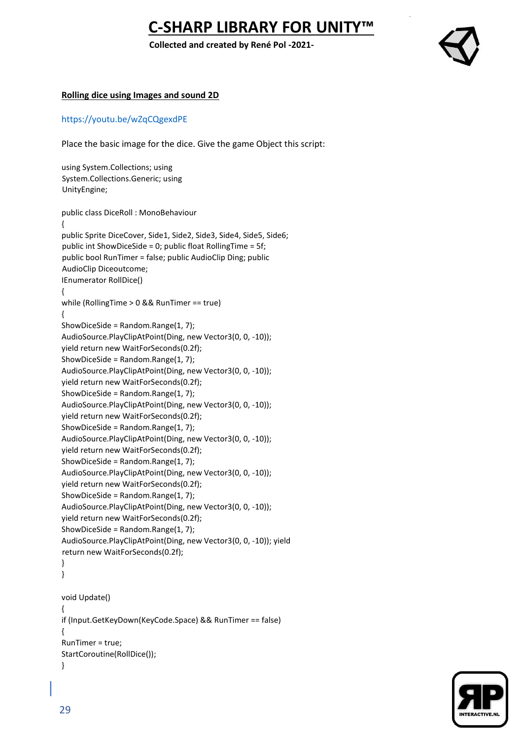**Collected and created by René Pol -2021-**



#### **Rolling dice using Images and sound 2D**

#### <https://youtu.be/wZqCQgexdPE>

Place the basic image for the dice. Give the game Object this script:

using System.Collections; using System.Collections.Generic; using UnityEngine; public class DiceRoll : MonoBehaviour { public Sprite DiceCover, Side1, Side2, Side3, Side4, Side5, Side6; public int ShowDiceSide = 0; public float RollingTime = 5f; public bool RunTimer = false; public AudioClip Ding; public AudioClip Diceoutcome; IEnumerator RollDice() { while (RollingTime > 0 && RunTimer == true) { ShowDiceSide = Random.Range(1, 7); AudioSource.PlayClipAtPoint(Ding, new Vector3(0, 0, -10)); yield return new WaitForSeconds(0.2f); ShowDiceSide = Random.Range(1, 7); AudioSource.PlayClipAtPoint(Ding, new Vector3(0, 0, -10)); yield return new WaitForSeconds(0.2f); ShowDiceSide = Random.Range(1, 7); AudioSource.PlayClipAtPoint(Ding, new Vector3(0, 0, -10)); yield return new WaitForSeconds(0.2f); ShowDiceSide = Random.Range(1, 7); AudioSource.PlayClipAtPoint(Ding, new Vector3(0, 0, -10)); yield return new WaitForSeconds(0.2f); ShowDiceSide = Random.Range(1, 7); AudioSource.PlayClipAtPoint(Ding, new Vector3(0, 0, -10)); yield return new WaitForSeconds(0.2f); ShowDiceSide = Random.Range(1, 7); AudioSource.PlayClipAtPoint(Ding, new Vector3(0, 0, -10)); yield return new WaitForSeconds(0.2f); ShowDiceSide = Random.Range(1, 7); AudioSource.PlayClipAtPoint(Ding, new Vector3(0, 0, -10)); yield return new WaitForSeconds(0.2f); } } void Update() { if (Input.GetKeyDown(KeyCode.Space) && RunTimer == false) { RunTimer = true; StartCoroutine(RollDice()); }

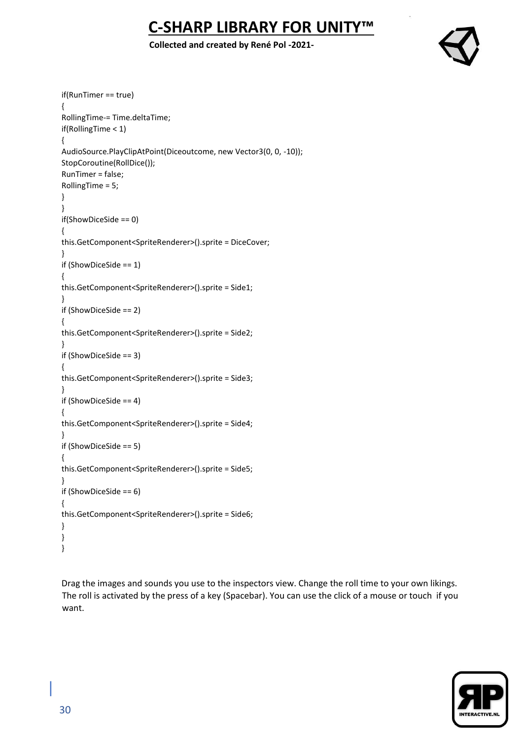### **Collected and created by René Pol -2021-**



```
if(RunTimer == true) 
{ 
RollingTime-= Time.deltaTime; 
if(RollingTime < 1) 
{ 
AudioSource.PlayClipAtPoint(Diceoutcome, new Vector3(0, 0, -10)); 
StopCoroutine(RollDice()); 
RunTimer = false; 
RollingTime = 5; 
} 
} 
if(ShowDiceSide == 0) 
{ 
this.GetComponent<SpriteRenderer>().sprite = DiceCover; 
} 
if (ShowDiceSide == 1) 
{ 
this.GetComponent<SpriteRenderer>().sprite = Side1; 
} 
if (ShowDiceSide == 2) 
{ 
this.GetComponent<SpriteRenderer>().sprite = Side2; 
} 
if (ShowDiceSide == 3) 
{ 
this.GetComponent<SpriteRenderer>().sprite = Side3; 
} 
if (ShowDiceSide == 4) 
{ 
this.GetComponent<SpriteRenderer>().sprite = Side4; 
} 
if (ShowDiceSide == 5) 
{ 
this.GetComponent<SpriteRenderer>().sprite = Side5; 
} 
if (ShowDiceSide == 6) 
{ 
this.GetComponent<SpriteRenderer>().sprite = Side6; 
} 
} 
}
```
Drag the images and sounds you use to the inspectors view. Change the roll time to your own likings. The roll is activated by the press of a key (Spacebar). You can use the click of a mouse or touch if you want.

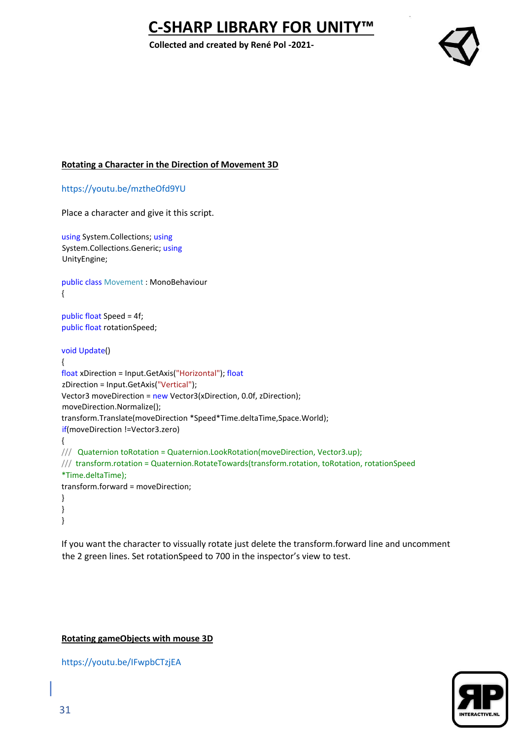**Collected and created by René Pol -2021-**



### **Rotating a Character in the Direction of Movement 3D**

<https://youtu.be/mztheOfd9YU>

Place a character and give it this script.

using System.Collections; using System.Collections.Generic; using UnityEngine;

public class Movement : MonoBehaviour {

public float Speed = 4f; public float rotationSpeed;

#### void Update()

```
{ 
float xDirection = Input.GetAxis("Horizontal"); float
zDirection = Input.GetAxis("Vertical"); 
Vector3 moveDirection = new Vector3(xDirection, 0.0f, zDirection); 
moveDirection.Normalize(); 
transform.Translate(moveDirection *Speed*Time.deltaTime,Space.World); 
if(moveDirection !=Vector3.zero) 
{ 
/// Quaternion toRotation = Quaternion.LookRotation(moveDirection, Vector3.up);
/// transform.rotation = Quaternion.RotateTowards(transform.rotation, toRotation, rotationSpeed 
*Time.deltaTime);
transform.forward = moveDirection; 
} 
} 
}
```
If you want the character to vissually rotate just delete the transform.forward line and uncomment the 2 green lines. Set rotationSpeed to 700 in the inspector's view to test.

#### **Rotating gameObjects with mouse 3D**

<https://youtu.be/IFwpbCTzjEA>

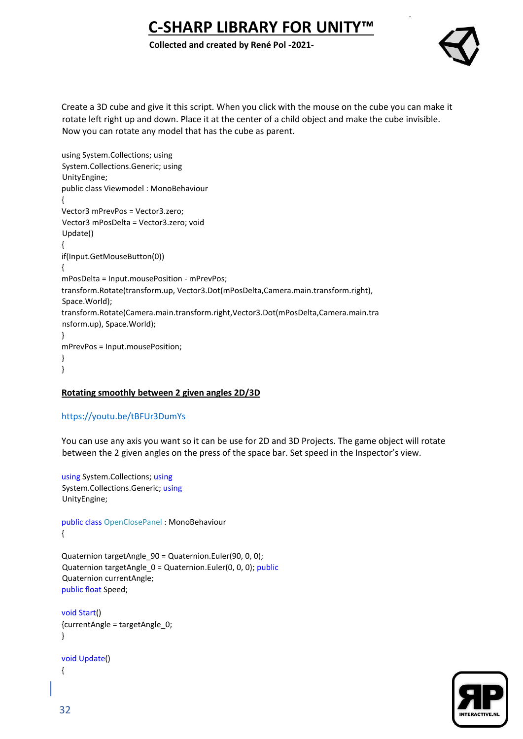**Collected and created by René Pol -2021-**



Create a 3D cube and give it this script. When you click with the mouse on the cube you can make it rotate left right up and down. Place it at the center of a child object and make the cube invisible. Now you can rotate any model that has the cube as parent.

using System.Collections; using System.Collections.Generic; using UnityEngine; public class Viewmodel : MonoBehaviour { Vector3 mPrevPos = Vector3.zero; Vector3 mPosDelta = Vector3.zero; void Update() { if(Input.GetMouseButton(0)) { mPosDelta = Input.mousePosition - mPrevPos; transform.Rotate(transform.up, Vector3.Dot(mPosDelta,Camera.main.transform.right), Space.World); transform.Rotate(Camera.main.transform.right,Vector3.Dot(mPosDelta,Camera.main.tra nsform.up), Space.World); } mPrevPos = Input.mousePosition; } }

## **Rotating smoothly between 2 given angles 2D/3D**

## <https://youtu.be/tBFUr3DumYs>

You can use any axis you want so it can be use for 2D and 3D Projects. The game object will rotate between the 2 given angles on the press of the space bar. Set speed in the Inspector's view.

```
using System.Collections; using
System.Collections.Generic; using
UnityEngine;
```

```
public class OpenClosePanel : MonoBehaviour 
{
```

```
Quaternion targetAngle_90 = Quaternion.Euler(90, 0, 0); 
Quaternion targetAngle_0 = Quaternion.Euler(0, 0, 0); public
Quaternion currentAngle; 
public float Speed;
```

```
void Start() 
{currentAngle = targetAngle_0; 
}
```

```
void Update() 
{
```
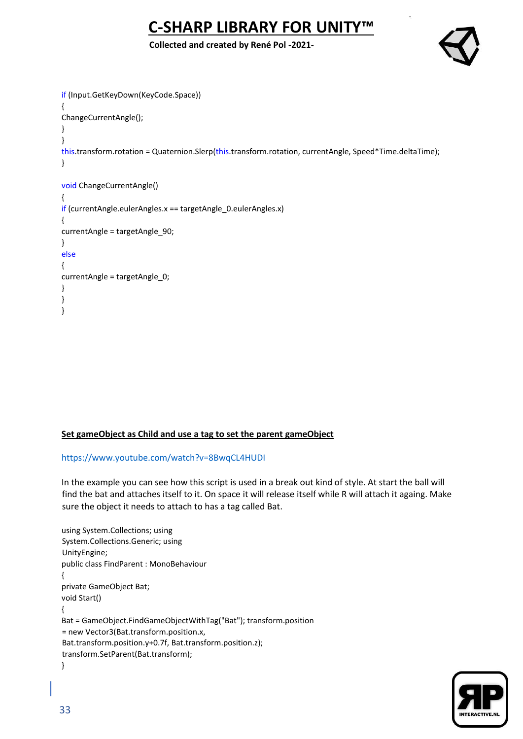**Collected and created by René Pol -2021-**

```
if (Input.GetKeyDown(KeyCode.Space)) 
{ 
ChangeCurrentAngle(); 
} 
} 
this.transform.rotation = Quaternion.Slerp(this.transform.rotation, currentAngle, Speed*Time.deltaTime); 
} 
void ChangeCurrentAngle() 
{ 
if (currentAngle.eulerAngles.x == targetAngle 0.eulerAngles.x)
{ 
currentAngle = targetAngle_90; 
} 
else
{ 
currentAngle = targetAngle_0; 
} 
} 
}
```
## **Set gameObject as Child and use a tag to set the parent gameObject**

## <https://www.youtube.com/watch?v=8BwqCL4HUDI>

In the example you can see how this script is used in a break out kind of style. At start the ball will find the bat and attaches itself to it. On space it will release itself while R will attach it againg. Make sure the object it needs to attach to has a tag called Bat.

```
using System.Collections; using 
System.Collections.Generic; using 
UnityEngine; 
public class FindParent : MonoBehaviour 
{ 
private GameObject Bat; 
void Start() 
{ 
Bat = GameObject.FindGameObjectWithTag("Bat"); transform.position 
= new Vector3(Bat.transform.position.x, 
Bat.transform.position.y+0.7f, Bat.transform.position.z); 
transform.SetParent(Bat.transform); 
}
```
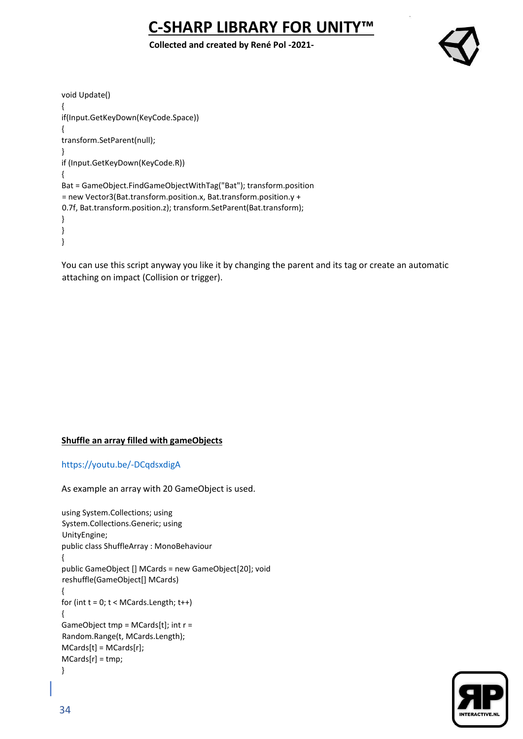**Collected and created by René Pol -2021-**



```
void Update() 
{ 
if(Input.GetKeyDown(KeyCode.Space)) 
{ 
transform.SetParent(null); 
} 
if (Input.GetKeyDown(KeyCode.R)) 
{ 
Bat = GameObject.FindGameObjectWithTag("Bat"); transform.position 
= new Vector3(Bat.transform.position.x, Bat.transform.position.y + 
0.7f, Bat.transform.position.z); transform.SetParent(Bat.transform); 
} 
} 
}
```
You can use this script anyway you like it by changing the parent and its tag or create an automatic attaching on impact (Collision or trigger).

## **Shuffle an array filled with gameObjects**

#### <https://youtu.be/-DCqdsxdigA>

As example an array with 20 GameObject is used.

```
using System.Collections; using 
System.Collections.Generic; using 
UnityEngine; 
public class ShuffleArray : MonoBehaviour 
{ 
public GameObject [] MCards = new GameObject[20]; void 
reshuffle(GameObject[] MCards) 
{ 
for (int t = 0; t < MCards.Length; t++)
{ 
GameObject tmp = MCards[t]; int r = 
Random.Range(t, MCards.Length); 
MCards[t] = MCards[r]; 
MCards[r] = tmp; 
}
```
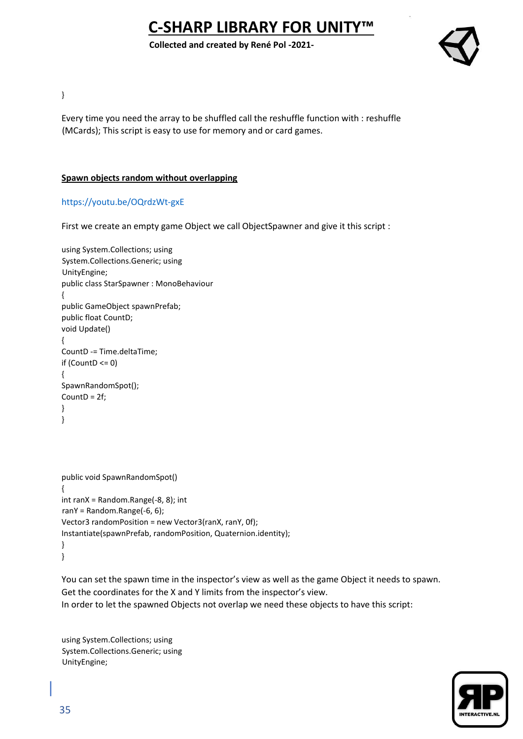**Collected and created by René Pol -2021-**



}

Every time you need the array to be shuffled call the reshuffle function with : reshuffle (MCards); This script is easy to use for memory and or card games.

### **Spawn objects random without overlapping**

#### <https://youtu.be/OQrdzWt-gxE>

First we create an empty game Object we call ObjectSpawner and give it this script :

```
using System.Collections; using 
System.Collections.Generic; using 
UnityEngine; 
public class StarSpawner : MonoBehaviour 
{ 
public GameObject spawnPrefab; 
public float CountD; 
void Update() 
{ 
CountD -= Time.deltaTime; 
if (CountD \le 0)
{ 
SpawnRandomSpot(); 
CountD = 2f; 
} 
}
```

```
public void SpawnRandomSpot() 
{ 
int ranX = Random.Range(-8, 8); int 
ranY = Random.Range(-6, 6); 
Vector3 randomPosition = new Vector3(ranX, ranY, 0f); 
Instantiate(spawnPrefab, randomPosition, Quaternion.identity); 
} 
}
```
You can set the spawn time in the inspector's view as well as the game Object it needs to spawn. Get the coordinates for the X and Y limits from the inspector's view. In order to let the spawned Objects not overlap we need these objects to have this script:

using System.Collections; using System.Collections.Generic; using UnityEngine;

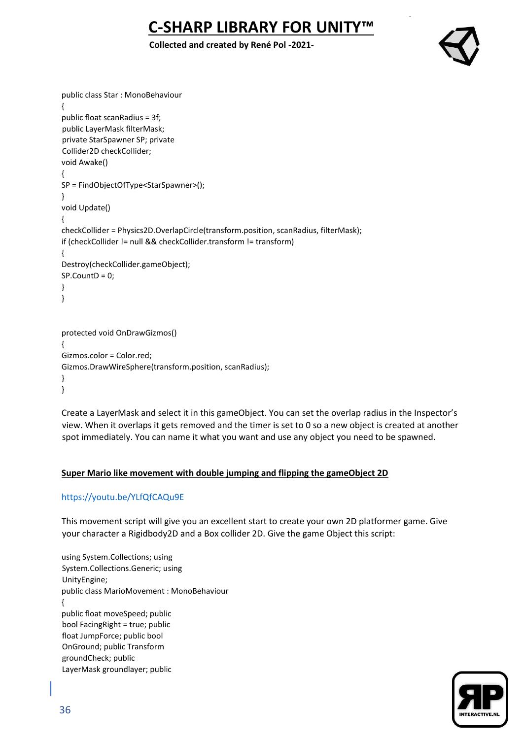## **Collected and created by René Pol -2021-**



```
public class Star : MonoBehaviour 
{ 
public float scanRadius = 3f; 
public LayerMask filterMask; 
private StarSpawner SP; private 
Collider2D checkCollider; 
void Awake() 
{ 
SP = FindObjectOfType<StarSpawner>(); 
} 
void Update() 
{ 
checkCollider = Physics2D.OverlapCircle(transform.position, scanRadius, filterMask); 
if (checkCollider != null && checkCollider.transform != transform) 
{ 
Destroy(checkCollider.gameObject); 
SP.CountD = 0; 
} 
} 
protected void OnDrawGizmos() 
{ 
Gizmos.color = Color.red; 
Gizmos.DrawWireSphere(transform.position, scanRadius); 
} 
}
```
Create a LayerMask and select it in this gameObject. You can set the overlap radius in the Inspector's view. When it overlaps it gets removed and the timer is set to 0 so a new object is created at another spot immediately. You can name it what you want and use any object you need to be spawned.

## **Super Mario like movement with double jumping and flipping the gameObject 2D**

## <https://youtu.be/YLfQfCAQu9E>

This movement script will give you an excellent start to create your own 2D platformer game. Give your character a Rigidbody2D and a Box collider 2D. Give the game Object this script:

using System.Collections; using System.Collections.Generic; using UnityEngine; public class MarioMovement : MonoBehaviour { public float moveSpeed; public bool FacingRight = true; public float JumpForce; public bool OnGround; public Transform groundCheck; public LayerMask groundlayer; public

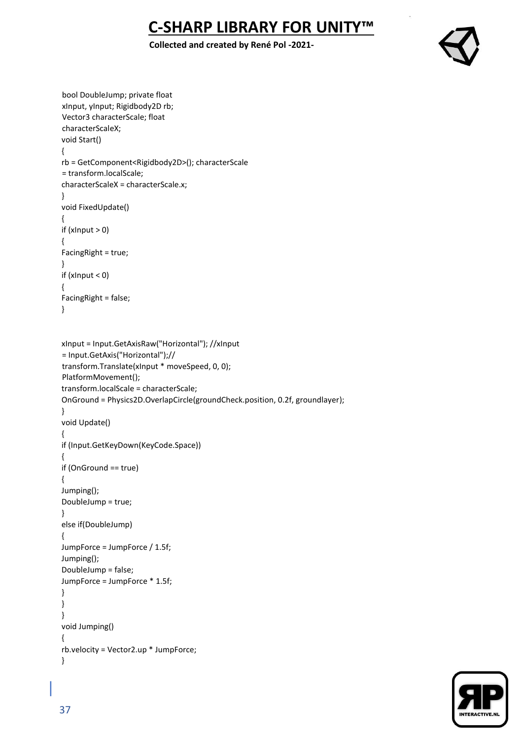**Collected and created by René Pol -2021-**



```
bool DoubleJump; private float 
xInput, yInput; Rigidbody2D rb; 
Vector3 characterScale; float 
characterScaleX; 
void Start() 
{ 
rb = GetComponent<Rigidbody2D>(); characterScale 
= transform.localScale; 
characterScaleX = characterScale.x; 
} 
void FixedUpdate() 
{ 
if (xInput > 0)
{ 
FacingRight = true; 
} 
if (xInput < 0) 
{ 
FacingRight = false; 
} 
xInput = Input.GetAxisRaw("Horizontal"); //xInput 
= Input.GetAxis("Horizontal");// 
transform.Translate(xInput * moveSpeed, 0, 0); 
PlatformMovement(); 
transform.localScale = characterScale; 
OnGround = Physics2D.OverlapCircle(groundCheck.position, 0.2f, groundlayer); 
} 
void Update() 
{ 
if (Input.GetKeyDown(KeyCode.Space)) 
{ 
if (OnGround == true) 
{ 
Jumping(); 
DoubleJump = true; 
} 
else if(DoubleJump) 
{ 
JumpForce = JumpForce / 1.5f; 
Jumping(); 
DoubleJump = false; 
JumpForce = JumpForce * 1.5f; 
} 
} 
} 
void Jumping() 
{ 
rb.velocity = Vector2.up * JumpForce; 
}
```
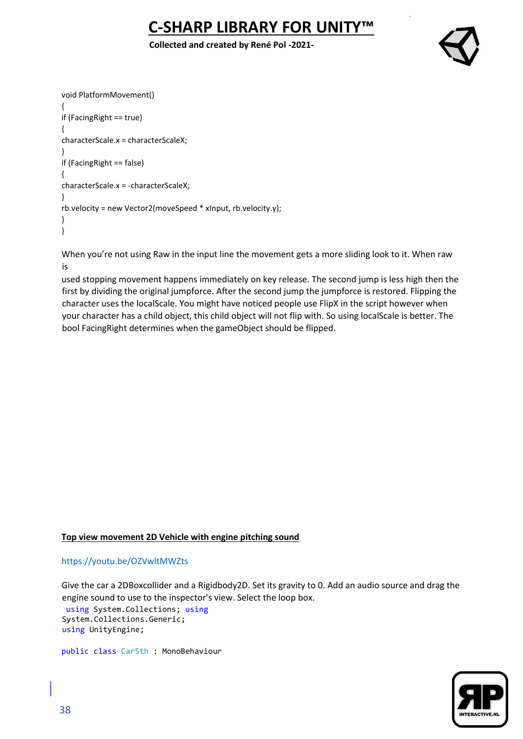**Collected and created by René Pol -2021-**



```
void PlatformMovement() 
{ 
if (FacingRight == true) 
{ 
characterScale.x = characterScaleX; 
} 
if (FacingRight == false) 
{ 
characterScale.x = -characterScaleX; 
} 
rb.velocity = new Vector2(moveSpeed * xInput, rb.velocity.y); 
} 
}
```
When you're not using Raw in the input line the movement gets a more sliding look to it. When raw is

used stopping movement happens immediately on key release. The second jump is less high then the first by dividing the original jumpforce. After the second jump the jumpforce is restored. Flipping the character uses the localScale. You might have noticed people use FlipX in the script however when your character has a child object, this child object will not flip with. So using localScale is better. The bool FacingRight determines when the gameObject should be flipped.

## **Top view movement 2D Vehicle with engine pitching sound**

## <https://youtu.be/OZVwltMWZts>

Give the car a 2DBoxcollider and a Rigidbody2D. Set its gravity to 0. Add an audio source and drag the engine sound to use to the inspector's view. Select the loop box. using System.Collections; using System.Collections.Generic; using UnityEngine;

public class Car5th : MonoBehaviour

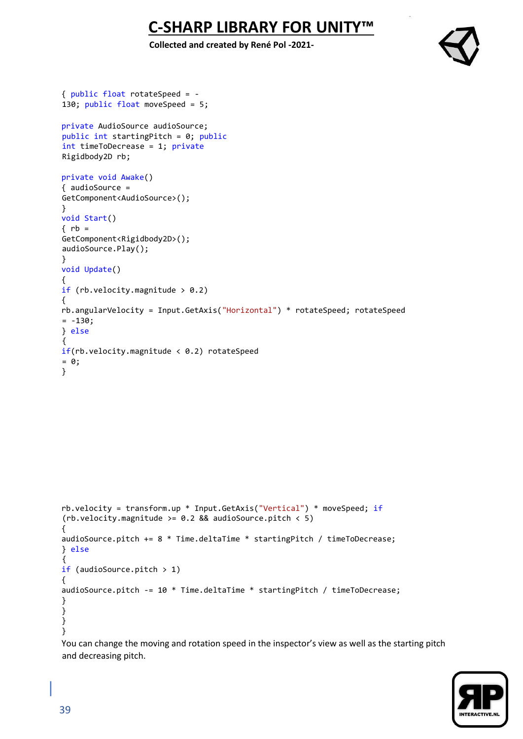**Collected and created by René Pol -2021-**



```
{ public float rotateSpeed = -
130; public float moveSpeed = 5; 
private AudioSource audioSource; 
public int startingPitch = 0; public
int timeToDecrease = 1; private
Rigidbody2D rb; 
private void Awake() 
{ audioSource = 
GetComponent<AudioSource>(); 
} 
void Start() 
\{rb =GetComponent<Rigidbody2D>(); 
audioSource.Play(); 
} 
void Update() 
{ 
if (rb.velocity.magnitude > 0.2)
{ 
rb.angularVelocity = Input.GetAxis("Horizontal") * rotateSpeed; rotateSpeed 
= -130;} else
{ 
if(rb.velocity.magnitude < 0.2) rotated= 0;
} 
rb.velocity = transform.up * Input.GetAxis("Vertical") * moveSpeed; if
(rb.velocity.magnitude >= 0.2 && audioSource.pitch < 5) 
{ 
audioSource.pitch += 8 * Time.deltaTime * startingPitch / timeToDecrease; 
} else
{ 
if (audioSource.pitch > 1) 
{ 
audioSource.pitch -= 10 * Time.deltaTime * startingPitch / timeToDecrease; 
} 
} 
} 
}
```
You can change the moving and rotation speed in the inspector's view as well as the starting pitch and decreasing pitch.

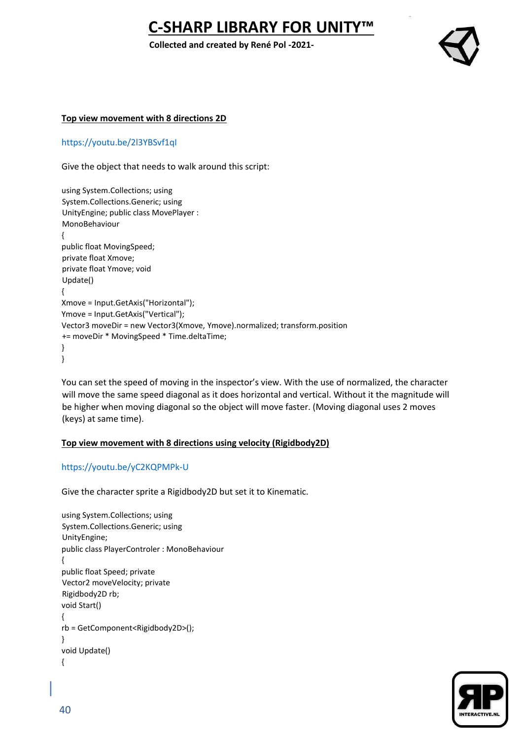**Collected and created by René Pol -2021-**



#### **Top view movement with 8 directions 2D**

<https://youtu.be/2l3YBSvf1qI>

Give the object that needs to walk around this script:

using System.Collections; using System.Collections.Generic; using UnityEngine; public class MovePlayer : MonoBehaviour { public float MovingSpeed; private float Xmove; private float Ymove; void Update() { Xmove = Input.GetAxis("Horizontal"); Ymove = Input.GetAxis("Vertical"); Vector3 moveDir = new Vector3(Xmove, Ymove).normalized; transform.position += moveDir \* MovingSpeed \* Time.deltaTime; } }

You can set the speed of moving in the inspector's view. With the use of normalized, the character will move the same speed diagonal as it does horizontal and vertical. Without it the magnitude will be higher when moving diagonal so the object will move faster. (Moving diagonal uses 2 moves (keys) at same time).

#### **Top view movement with 8 directions using velocity (Rigidbody2D)**

#### <https://youtu.be/yC2KQPMPk-U>

Give the character sprite a Rigidbody2D but set it to Kinematic.

```
using System.Collections; using 
System.Collections.Generic; using 
UnityEngine; 
public class PlayerControler : MonoBehaviour 
{ 
public float Speed; private 
Vector2 moveVelocity; private 
Rigidbody2D rb; 
void Start() 
{ 
rb = GetComponent<Rigidbody2D>(); 
} 
void Update() 
{
```
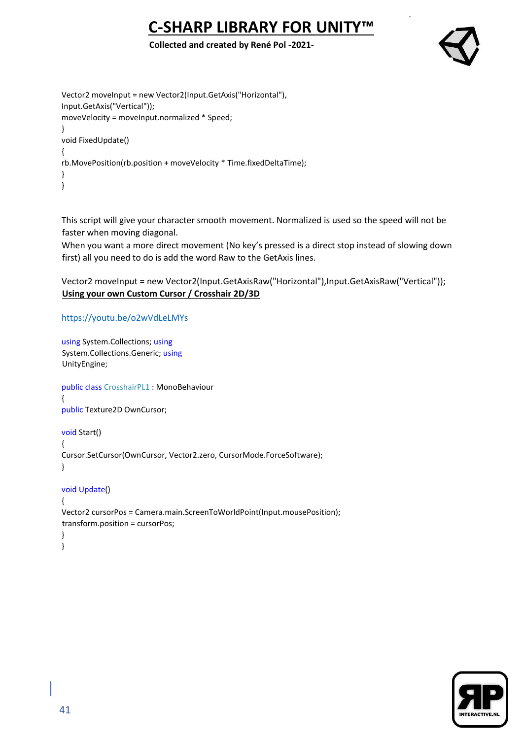### **Collected and created by René Pol -2021-**



```
Vector2 moveInput = new Vector2(Input.GetAxis("Horizontal"), 
Input.GetAxis("Vertical")); 
moveVelocity = moveInput.normalized * Speed; 
} 
void FixedUpdate() 
{ 
rb.MovePosition(rb.position + moveVelocity * Time.fixedDeltaTime); 
} 
}
```
This script will give your character smooth movement. Normalized is used so the speed will not be faster when moving diagonal.

When you want a more direct movement (No key's pressed is a direct stop instead of slowing down first) all you need to do is add the word Raw to the GetAxis lines.

Vector2 moveInput = new Vector2(Input.GetAxisRaw("Horizontal"),Input.GetAxisRaw("Vertical")); **Using your own Custom Cursor / Crosshair 2D/3D**

```
https://youtu.be/o2wVdLeLMYs
```

```
using System.Collections; using
System.Collections.Generic; using
UnityEngine; 
public class CrosshairPL1 : MonoBehaviour 
{ 
public Texture2D OwnCursor; 
void Start() 
{ 
Cursor.SetCursor(OwnCursor, Vector2.zero, CursorMode.ForceSoftware); 
} 
void Update() 
{ 
Vector2 cursorPos = Camera.main.ScreenToWorldPoint(Input.mousePosition); 
transform.position = cursorPos; 
} 
}
```
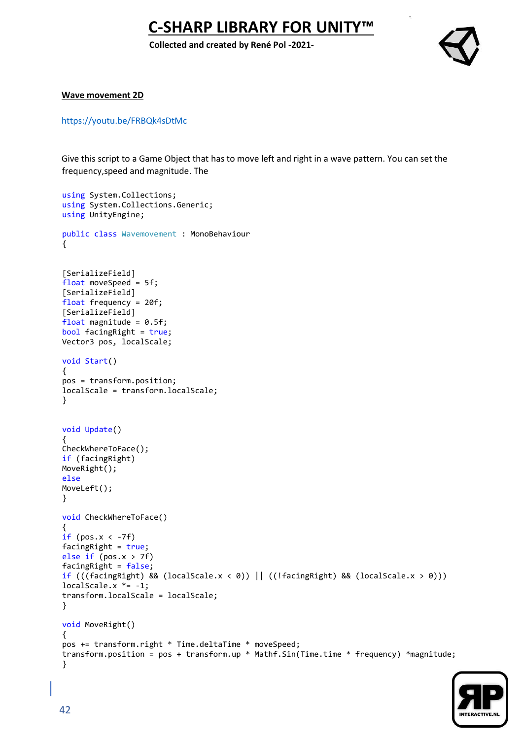**Collected and created by René Pol -2021-**



#### **Wave movement 2D**

<https://youtu.be/FRBQk4sDtMc>

Give this script to a Game Object that has to move left and right in a wave pattern. You can set the frequency,speed and magnitude. The

```
using System.Collections;
using System.Collections.Generic;
using UnityEngine;
public class Wavemovement : MonoBehaviour
{
[SerializeField]
float moveSpeed = 5f;
[SerializeField]
float frequency = 20f;
[SerializeField]
float magnitude = 0.5f;
bool facingRight = true;
Vector3 pos, localScale;
void Start()
{
pos = transform.position;
localScale = transform.localScale;
}
void Update()
{
CheckWhereToFace();
if (facingRight)
MoveRight();
else
MoveLeft();
}
void CheckWhereToFace()
{
if (pos.x < -7f)facingRight = true;
else if (pos.x > 7f)facingRight = false;if (((facingRight) && (localScale.x < 0)) || ((!facingRight) && (localScale.x > 0)))
localScale.x *= -1;
transform.localScale = localScale;
}
void MoveRight()
{
pos += transform.right * Time.deltaTime * moveSpeed;
transform.position = pos + transform.up * Mathf.Sin(Time.time * frequency) *magnitude;
}
```